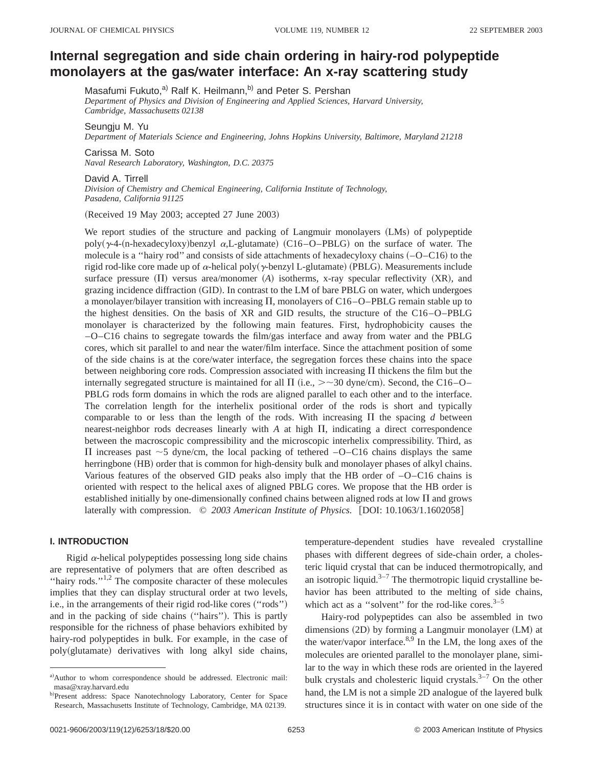# **Internal segregation and side chain ordering in hairy-rod polypeptide** monolayers at the gas/water interface: An x-ray scattering study

Masafumi Fukuto,<sup>a)</sup> Ralf K. Heilmann,<sup>b)</sup> and Peter S. Pershan

*Department of Physics and Division of Engineering and Applied Sciences, Harvard University, Cambridge, Massachusetts 02138*

Seungju M. Yu

*Department of Materials Science and Engineering, Johns Hopkins University, Baltimore, Maryland 21218*

Carissa M. Soto *Naval Research Laboratory, Washington, D.C. 20375*

David A. Tirrell *Division of Chemistry and Chemical Engineering, California Institute of Technology, Pasadena, California 91125*

Received 19 May 2003; accepted 27 June 2003-

We report studies of the structure and packing of Langmuir monolayers (LMs) of polypeptide poly( $\gamma$ -4-(n-hexadecyloxy)benzyl  $\alpha$ ,L-glutamate) (C16–O–PBLG) on the surface of water. The molecule is a "hairy rod" and consists of side attachments of hexadecyloxy chains  $(-O - C16)$  to the rigid rod-like core made up of  $\alpha$ -helical poly( $\gamma$ -benzyl L-glutamate) (PBLG). Measurements include surface pressure  $(\Pi)$  versus area/monomer  $(A)$  isotherms, x-ray specular reflectivity  $(XR)$ , and grazing incidence diffraction (GID). In contrast to the LM of bare PBLG on water, which undergoes a monolayer/bilayer transition with increasing  $\Pi$ , monolayers of C16–O–PBLG remain stable up to the highest densities. On the basis of XR and GID results, the structure of the C16–O–PBLG monolayer is characterized by the following main features. First, hydrophobicity causes the –O–C16 chains to segregate towards the film/gas interface and away from water and the PBLG cores, which sit parallel to and near the water/film interface. Since the attachment position of some of the side chains is at the core/water interface, the segregation forces these chains into the space between neighboring core rods. Compression associated with increasing  $\Pi$  thickens the film but the internally segregated structure is maintained for all  $\Pi$  (i.e.,  $> \sim 30$  dyne/cm). Second, the C16–O– PBLG rods form domains in which the rods are aligned parallel to each other and to the interface. The correlation length for the interhelix positional order of the rods is short and typically comparable to or less than the length of the rods. With increasing  $\Pi$  the spacing *d* between nearest-neighbor rods decreases linearly with  $A$  at high  $\Pi$ , indicating a direct correspondence between the macroscopic compressibility and the microscopic interhelix compressibility. Third, as  $\Pi$  increases past  $\sim$  5 dyne/cm, the local packing of tethered  $-O$ –C16 chains displays the same herringbone (HB) order that is common for high-density bulk and monolayer phases of alkyl chains. Various features of the observed GID peaks also imply that the HB order of –O–C16 chains is oriented with respect to the helical axes of aligned PBLG cores. We propose that the HB order is established initially by one-dimensionally confined chains between aligned rods at low  $\Pi$  and grows laterally with compression.  $\degree$  2003 American Institute of Physics. [DOI: 10.1063/1.1602058]

# **I. INTRODUCTION**

Rigid  $\alpha$ -helical polypeptides possessing long side chains are representative of polymers that are often described as ''hairy rods.''1,2 The composite character of these molecules implies that they can display structural order at two levels, i.e., in the arrangements of their rigid rod-like cores ("rods") and in the packing of side chains ("hairs"). This is partly responsible for the richness of phase behaviors exhibited by hairy-rod polypeptides in bulk. For example, in the case of poly(glutamate) derivatives with long alkyl side chains,

temperature-dependent studies have revealed crystalline phases with different degrees of side-chain order, a cholesteric liquid crystal that can be induced thermotropically, and an isotropic liquid.<sup>3–7</sup> The thermotropic liquid crystalline behavior has been attributed to the melting of side chains, which act as a "solvent" for the rod-like cores. $3-5$ 

Hairy-rod polypeptides can also be assembled in two dimensions (2D) by forming a Langmuir monolayer (LM) at the water/vapor interface. $8.9$  In the LM, the long axes of the molecules are oriented parallel to the monolayer plane, similar to the way in which these rods are oriented in the layered bulk crystals and cholesteric liquid crystals.<sup>3-7</sup> On the other hand, the LM is not a simple 2D analogue of the layered bulk structures since it is in contact with water on one side of the

a)Author to whom correspondence should be addressed. Electronic mail: masa@xray.harvard.edu

b)Present address: Space Nanotechnology Laboratory, Center for Space Research, Massachusetts Institute of Technology, Cambridge, MA 02139.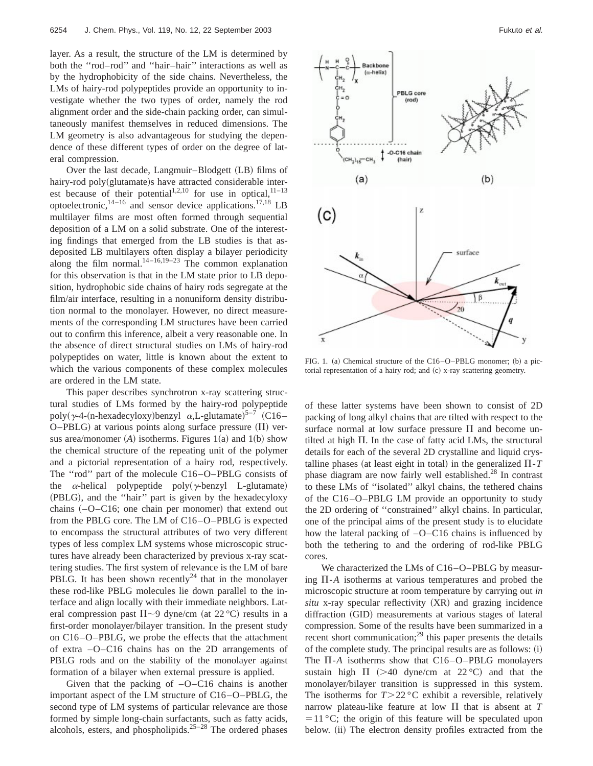layer. As a result, the structure of the LM is determined by both the ''rod–rod'' and ''hair–hair'' interactions as well as by the hydrophobicity of the side chains. Nevertheless, the LMs of hairy-rod polypeptides provide an opportunity to investigate whether the two types of order, namely the rod alignment order and the side-chain packing order, can simultaneously manifest themselves in reduced dimensions. The LM geometry is also advantageous for studying the dependence of these different types of order on the degree of lateral compression.

Over the last decade, Langmuir-Blodgett (LB) films of hairy-rod poly(glutamate)s have attracted considerable interest because of their potential<sup>1,2,10</sup> for use in optical,<sup>11–13</sup> optoelectronic, $14-16$  and sensor device applications.<sup>17,18</sup> LB multilayer films are most often formed through sequential deposition of a LM on a solid substrate. One of the interesting findings that emerged from the LB studies is that asdeposited LB multilayers often display a bilayer periodicity along the film normal. $14-16,19-23$  The common explanation for this observation is that in the LM state prior to LB deposition, hydrophobic side chains of hairy rods segregate at the film/air interface, resulting in a nonuniform density distribution normal to the monolayer. However, no direct measurements of the corresponding LM structures have been carried out to confirm this inference, albeit a very reasonable one. In the absence of direct structural studies on LMs of hairy-rod polypeptides on water, little is known about the extent to which the various components of these complex molecules are ordered in the LM state.

This paper describes synchrotron x-ray scattering structural studies of LMs formed by the hairy-rod polypeptide poly( $\gamma$ -4-(n-hexadecyloxy)benzyl  $\alpha$ ,L-glutamate)<sup>5-7</sup> (C16- $O-PBLG$ ) at various points along surface pressure  $(\Pi)$  versus area/monomer  $(A)$  isotherms. Figures  $1(a)$  and  $1(b)$  show the chemical structure of the repeating unit of the polymer and a pictorial representation of a hairy rod, respectively. The ''rod'' part of the molecule C16–O–PBLG consists of the  $\alpha$ -helical polypeptide poly( $\gamma$ -benzyl L-glutamate) (PBLG), and the "hair" part is given by the hexadecyloxy chains  $(-O-C16)$ ; one chain per monomer) that extend out from the PBLG core. The LM of C16–O–PBLG is expected to encompass the structural attributes of two very different types of less complex LM systems whose microscopic structures have already been characterized by previous x-ray scattering studies. The first system of relevance is the LM of bare PBLG. It has been shown recently<sup>24</sup> that in the monolayer these rod-like PBLG molecules lie down parallel to the interface and align locally with their immediate neighbors. Lateral compression past  $\Pi \sim 9$  dyne/cm (at 22 °C) results in a first-order monolayer/bilayer transition. In the present study on C16–O–PBLG, we probe the effects that the attachment of extra –O–C16 chains has on the 2D arrangements of PBLG rods and on the stability of the monolayer against formation of a bilayer when external pressure is applied.

Given that the packing of  $-O-C16$  chains is another important aspect of the LM structure of C16–O–PBLG, the second type of LM systems of particular relevance are those formed by simple long-chain surfactants, such as fatty acids, alcohols, esters, and phospholipids.<sup>25–28</sup> The ordered phases



FIG. 1. (a) Chemical structure of the C16–O–PBLG monomer; (b) a pictorial representation of a hairy rod; and (c) x-ray scattering geometry.

of these latter systems have been shown to consist of 2D packing of long alkyl chains that are tilted with respect to the surface normal at low surface pressure  $\Pi$  and become untilted at high  $\Pi$ . In the case of fatty acid LMs, the structural details for each of the several 2D crystalline and liquid crystalline phases (at least eight in total) in the generalized  $\Pi$ -*T* phase diagram are now fairly well established.<sup>28</sup> In contrast to these LMs of ''isolated'' alkyl chains, the tethered chains of the C16–O–PBLG LM provide an opportunity to study the 2D ordering of ''constrained'' alkyl chains. In particular, one of the principal aims of the present study is to elucidate how the lateral packing of –O–C16 chains is influenced by both the tethering to and the ordering of rod-like PBLG cores.

We characterized the LMs of C16–O–PBLG by measuring  $\Pi$ -*A* isotherms at various temperatures and probed the microscopic structure at room temperature by carrying out *in* situ x-ray specular reflectivity (XR) and grazing incidence diffraction (GID) measurements at various stages of lateral compression. Some of the results have been summarized in a recent short communication; $^{29}$  this paper presents the details of the complete study. The principal results are as follows: (i) The  $\Pi$ -A isotherms show that  $C16-O-PBLG$  monolayers sustain high  $\Pi$  (>40 dyne/cm at 22 °C) and that the monolayer/bilayer transition is suppressed in this system. The isotherms for  $T > 22 \degree C$  exhibit a reversible, relatively narrow plateau-like feature at low  $\Pi$  that is absent at *T*  $=$  11 °C; the origin of this feature will be speculated upon below. (ii) The electron density profiles extracted from the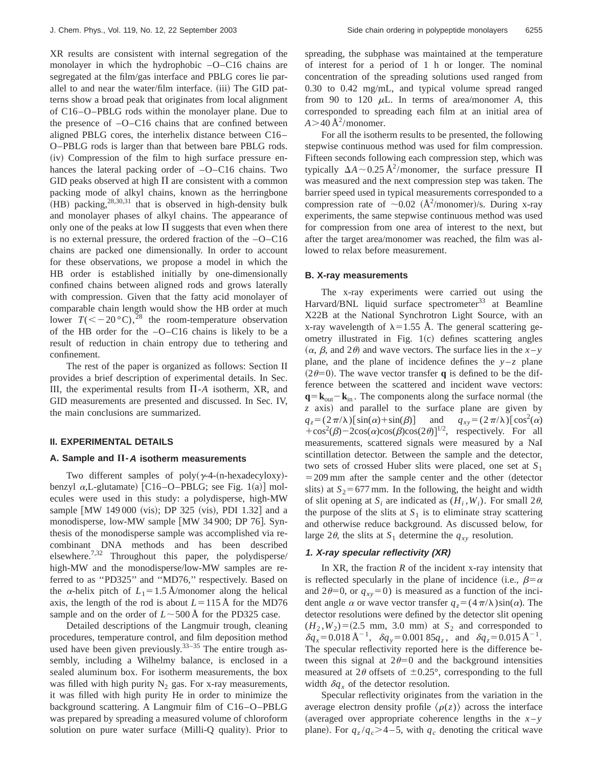XR results are consistent with internal segregation of the monolayer in which the hydrophobic –O–C16 chains are segregated at the film/gas interface and PBLG cores lie parallel to and near the water/film interface. (iii) The GID patterns show a broad peak that originates from local alignment of C16–O–PBLG rods within the monolayer plane. Due to the presence of –O–C16 chains that are confined between aligned PBLG cores, the interhelix distance between C16– O–PBLG rods is larger than that between bare PBLG rods. (iv) Compression of the film to high surface pressure enhances the lateral packing order of  $-O-C16$  chains. Two GID peaks observed at high  $\Pi$  are consistent with a common packing mode of alkyl chains, known as the herringbone  $(HB)$  packing,<sup>28,30,31</sup> that is observed in high-density bulk and monolayer phases of alkyl chains. The appearance of only one of the peaks at low  $\Pi$  suggests that even when there is no external pressure, the ordered fraction of the –O–C16 chains are packed one dimensionally. In order to account for these observations, we propose a model in which the HB order is established initially by one-dimensionally confined chains between aligned rods and grows laterally with compression. Given that the fatty acid monolayer of comparable chain length would show the HB order at much lower  $T(<-20 \degree C)$ ,<sup>28</sup> the room-temperature observation of the HB order for the –O–C16 chains is likely to be a result of reduction in chain entropy due to tethering and confinement.

The rest of the paper is organized as follows: Section II provides a brief description of experimental details. In Sec. III, the experimental results from  $\Pi$ -A isotherm, XR, and GID measurements are presented and discussed. In Sec. IV, the main conclusions are summarized.

## **II. EXPERIMENTAL DETAILS**

## A. Sample and  $\Pi$ -A isotherm measurements

Two different samples of  $poly(\gamma-4-(n-\text{hexadecyloxy})$ benzyl  $\alpha$ ,L-glutamate) [C16–O–PBLG; see Fig. 1(a)] molecules were used in this study: a polydisperse, high-MW sample [MW 149 000 (vis); DP 325 (vis), PDI 1.32] and a monodisperse, low-MW sample [MW 34 900; DP 76]. Synthesis of the monodisperse sample was accomplished via recombinant DNA methods and has been described elsewhere.<sup>7,32</sup> Throughout this paper, the polydisperse/ high-MW and the monodisperse/low-MW samples are referred to as ''PD325'' and ''MD76,'' respectively. Based on the  $\alpha$ -helix pitch of  $L_1 = 1.5$  Å/monomer along the helical axis, the length of the rod is about  $L = 115 \text{ Å}$  for the MD76 sample and on the order of  $L \sim 500 \text{ Å}$  for the PD325 case.

Detailed descriptions of the Langmuir trough, cleaning procedures, temperature control, and film deposition method used have been given previously.<sup>33-35</sup> The entire trough assembly, including a Wilhelmy balance, is enclosed in a sealed aluminum box. For isotherm measurements, the box was filled with high purity  $N_2$  gas. For x-ray measurements, it was filled with high purity He in order to minimize the background scattering. A Langmuir film of C16–O–PBLG was prepared by spreading a measured volume of chloroform solution on pure water surface (Milli-Q quality). Prior to spreading, the subphase was maintained at the temperature of interest for a period of 1 h or longer. The nominal concentration of the spreading solutions used ranged from 0.30 to 0.42 mg/mL, and typical volume spread ranged from 90 to 120  $\mu$ L. In terms of area/monomer *A*, this corresponded to spreading each film at an initial area of  $A > 40 \text{ Å}^2$ /monomer.

For all the isotherm results to be presented, the following stepwise continuous method was used for film compression. Fifteen seconds following each compression step, which was typically  $\Delta A \sim 0.25 \text{ Å}^2/\text{monomer}$ , the surface pressure  $\Pi$ was measured and the next compression step was taken. The barrier speed used in typical measurements corresponded to a compression rate of  $\sim 0.02$  ( $\rm \AA^2/monomer$ )/s. During x-ray experiments, the same stepwise continuous method was used for compression from one area of interest to the next, but after the target area/monomer was reached, the film was allowed to relax before measurement.

## **B. X-ray measurements**

The x-ray experiments were carried out using the Harvard/BNL liquid surface spectrometer<sup>33</sup> at Beamline X22B at the National Synchrotron Light Source, with an x-ray wavelength of  $\lambda = 1.55$  Å. The general scattering geometry illustrated in Fig.  $1(c)$  defines scattering angles  $(\alpha, \beta, \text{ and } 2\theta)$  and wave vectors. The surface lies in the *x*-*y* plane, and the plane of incidence defines the  $y-z$  plane  $(2\theta=0)$ . The wave vector transfer **q** is defined to be the difference between the scattered and incident wave vectors:  $\mathbf{q} = \mathbf{k}_{\text{out}} - \mathbf{k}_{\text{in}}$ . The components along the surface normal (the z axis) and parallel to the surface plane are given by  $q_z = (2\pi/\lambda) [\sin(\alpha) + \sin(\beta)]$  and  $q_{xy} =$  $(2\pi/\lambda) [\cos^2(\alpha)$ +cos<sup>2</sup>( $\beta$ )-2cos( $\alpha$ )cos( $\beta$ )cos(2 $\theta$ )]<sup>1/2</sup>, respectively. For all measurements, scattered signals were measured by a NaI scintillation detector. Between the sample and the detector, two sets of crossed Huber slits were placed, one set at *S*<sup>1</sup>  $=$  209 mm after the sample center and the other (detector slits) at  $S_2$ = 677 mm. In the following, the height and width of slit opening at  $S_i$  are indicated as  $(H_i, W_i)$ . For small 2 $\theta$ , the purpose of the slits at  $S_1$  is to eliminate stray scattering and otherwise reduce background. As discussed below, for large 2 $\theta$ , the slits at  $S_1$  determine the  $q_{xy}$  resolution.

## **1. X-ray specular reflectivity (XR)**

In XR, the fraction  $R$  of the incident x-ray intensity that is reflected specularly in the plane of incidence (i.e.,  $\beta = \alpha$ and  $2\theta=0$ , or  $q_{xy}=0$ ) is measured as a function of the incident angle  $\alpha$  or wave vector transfer  $q_z = (4\pi/\lambda)\sin(\alpha)$ . The detector resolutions were defined by the detector slit opening  $(H_2, W_2) = (2.5 \text{ mm}, 3.0 \text{ mm})$  at  $S_2$  and corresponded to  $\delta q_x = 0.018 \,\text{\AA}^{-1}$ ,  $\delta q_y = 0.00185 q_z$ , and  $\delta q_z = 0.015 \,\text{\AA}^{-1}$ . The specular reflectivity reported here is the difference between this signal at  $2\theta=0$  and the background intensities measured at  $2\theta$  offsets of  $\pm 0.25^{\circ}$ , corresponding to the full width  $\delta q_x$  of the detector resolution.

Specular reflectivity originates from the variation in the average electron density profile  $\langle \rho(z) \rangle$  across the interface (averaged over appropriate coherence lengths in the  $x - y$ plane). For  $q_z/q_c$  > 4 – 5, with  $q_c$  denoting the critical wave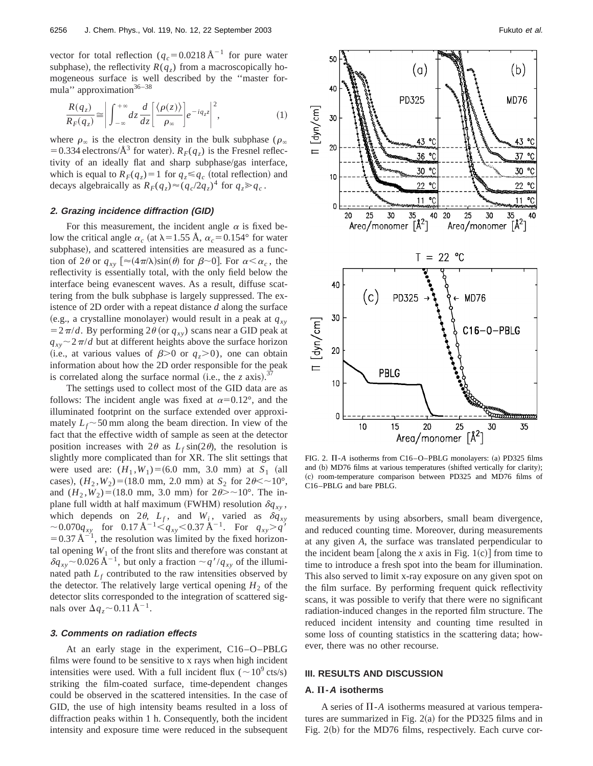vector for total reflection  $(q_c = 0.0218 \text{ Å}^{-1})$  for pure water subphase), the reflectivity  $R(q_z)$  from a macroscopically homogeneous surface is well described by the ''master formula" approximation $36-38$ 

$$
\frac{R(q_z)}{R_F(q_z)} \cong \left| \int_{-\infty}^{+\infty} dz \frac{d}{dz} \left[ \frac{\langle \rho(z) \rangle}{\rho_{\infty}} \right] e^{-iq_z z} \right|^2, \tag{1}
$$

where  $\rho_{\infty}$  is the electron density in the bulk subphase ( $\rho_{\infty}$ ) = 0.334 electrons/ $\AA^3$  for water).  $R_F(q_z)$  is the Fresnel reflectivity of an ideally flat and sharp subphase/gas interface, which is equal to  $R_F(q_z) = 1$  for  $q_z \leq q_c$  (total reflection) and decays algebraically as  $R_F(q_z) \approx (q_c/2q_z)^4$  for  $q_z \gg q_c$ .

## **2. Grazing incidence diffraction (GID)**

For this measurement, the incident angle  $\alpha$  is fixed below the critical angle  $\alpha_c$  (at  $\lambda = 1.55$  Å,  $\alpha_c = 0.154$ ° for water subphase), and scattered intensities are measured as a function of 2 $\theta$  or  $q_{xy}$  [ $\approx$ (4 $\pi$ / $\lambda$ )sin( $\theta$ ) for  $\beta$ ~0]. For  $\alpha < \alpha_c$ , the reflectivity is essentially total, with the only field below the interface being evanescent waves. As a result, diffuse scattering from the bulk subphase is largely suppressed. The existence of 2D order with a repeat distance *d* along the surface (e.g., a crystalline monolayer) would result in a peak at  $q_{xy}$  $= 2 \pi / d$ . By performing 2 $\theta$  (or  $q_{xy}$ ) scans near a GID peak at  $q_{xy}$   $\sim$  2 $\pi$ /*d* but at different heights above the surface horizon (i.e., at various values of  $\beta$ >0 or  $q_z$ >0), one can obtain information about how the 2D order responsible for the peak is correlated along the surface normal (i.e., the *z* axis).<sup>37</sup>

The settings used to collect most of the GID data are as follows: The incident angle was fixed at  $\alpha = 0.12^{\circ}$ , and the illuminated footprint on the surface extended over approximately  $L_f \sim 50$  mm along the beam direction. In view of the fact that the effective width of sample as seen at the detector position increases with  $2\theta$  as  $L_f \sin(2\theta)$ , the resolution is slightly more complicated than for XR. The slit settings that were used are:  $(H_1, W_1) = (6.0 \text{ mm}, 3.0 \text{ mm})$  at  $S_1$  (all cases),  $(H_2, W_2) = (18.0 \text{ mm}, 2.0 \text{ mm})$  at  $S_2$  for  $2\theta \leq 10^{\circ}$ , and  $(H_2, W_2) = (18.0 \text{ mm}, 3.0 \text{ mm})$  for  $2\theta > \sim 10^{\circ}$ . The inplane full width at half maximum (FWHM) resolution  $\delta q_{xy}$ , which depends on  $2\theta$ ,  $L_f$ , and  $W_i$ , varied as  $\delta q_{xy}$  $\sim$  0.070 $q_{xy}$  for 0.17 Å<sup>-1</sup>  $\lt q_{xy}$  < 0.37 Å<sup>-1</sup>. For  $q_{xy}$  >  $q'$  $= 0.37 \text{ Å}^{-1}$ , the resolution was limited by the fixed horizontal opening  $W_1$  of the front slits and therefore was constant at  $\delta q_{xy}$  ~ 0.026 Å<sup>-1</sup>, but only a fraction  $\sim q'/q_{xy}$  of the illuminated path  $L_f$  contributed to the raw intensities observed by the detector. The relatively large vertical opening  $H_2$  of the detector slits corresponded to the integration of scattered signals over  $\Delta q_z \sim 0.11 \text{ Å}^{-1}$ .

#### **3. Comments on radiation effects**

At an early stage in the experiment, C16–O–PBLG films were found to be sensitive to x rays when high incident intensities were used. With a full incident flux ( $\sim 10^9$  cts/s) striking the film-coated surface, time-dependent changes could be observed in the scattered intensities. In the case of GID, the use of high intensity beams resulted in a loss of diffraction peaks within 1 h. Consequently, both the incident intensity and exposure time were reduced in the subsequent



FIG. 2.  $\Pi$ -A isotherms from C16-O-PBLG monolayers: (a) PD325 films and (b) MD76 films at various temperatures (shifted vertically for clarity); (c) room-temperature comparison between PD325 and MD76 films of C16–PBLG and bare PBLG.

measurements by using absorbers, small beam divergence, and reduced counting time. Moreover, during measurements at any given *A*, the surface was translated perpendicular to the incident beam [along the  $x$  axis in Fig. 1(c)] from time to time to introduce a fresh spot into the beam for illumination. This also served to limit x-ray exposure on any given spot on the film surface. By performing frequent quick reflectivity scans, it was possible to verify that there were no significant radiation-induced changes in the reported film structure. The reduced incident intensity and counting time resulted in some loss of counting statistics in the scattering data; however, there was no other recourse.

#### **III. RESULTS AND DISCUSSION**

#### **A. -<sup>A</sup> isotherms**

A series of  $\Pi$ -*A* isotherms measured at various temperatures are summarized in Fig.  $2(a)$  for the PD325 films and in Fig. 2(b) for the MD76 films, respectively. Each curve cor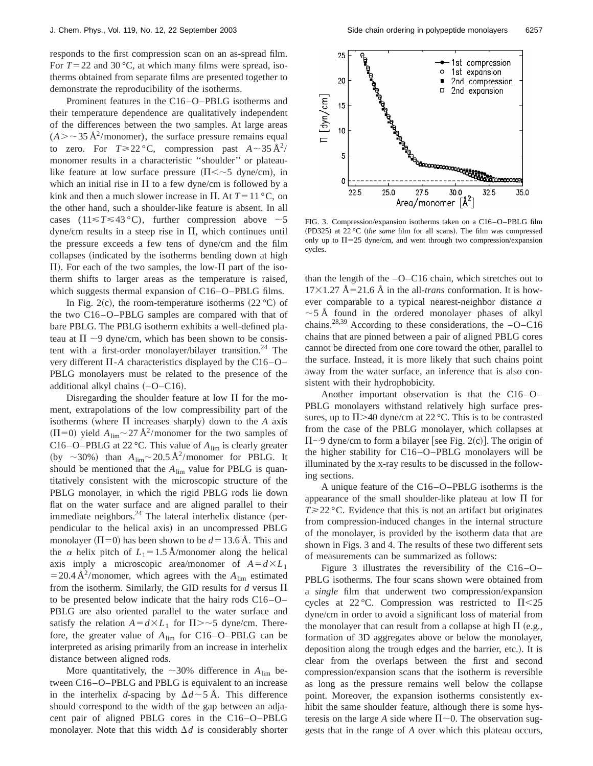responds to the first compression scan on an as-spread film. For  $T = 22$  and  $30^{\circ}$ C, at which many films were spread, isotherms obtained from separate films are presented together to demonstrate the reproducibility of the isotherms.

Prominent features in the C16–O–PBLG isotherms and their temperature dependence are qualitatively independent of the differences between the two samples. At large areas  $(A > \sim 35 \text{ Å}^2/\text{monomer})$ , the surface pressure remains equal to zero. For  $T \ge 22 \degree C$ , compression past  $A \sim 35 \AA^{2}/$ monomer results in a characteristic ''shoulder'' or plateaulike feature at low surface pressure  $(\Pi \langle \sim 5 \text{ dyne/cm})$ , in which an initial rise in  $\Pi$  to a few dyne/cm is followed by a kink and then a much slower increase in  $\Pi$ . At  $T = 11 \degree C$ , on the other hand, such a shoulder-like feature is absent. In all cases  $(11 \le T \le 43 \degree C)$ , further compression above  $\sim 5$  $dyne/cm$  results in a steep rise in  $\Pi$ , which continues until the pressure exceeds a few tens of dyne/cm and the film collapses (indicated by the isotherms bending down at high  $\Pi$ ). For each of the two samples, the low- $\Pi$  part of the isotherm shifts to larger areas as the temperature is raised, which suggests thermal expansion of C16–O–PBLG films.

In Fig. 2(c), the room-temperature isotherms  $(22 \degree C)$  of the two C16–O–PBLG samples are compared with that of bare PBLG. The PBLG isotherm exhibits a well-defined plateau at  $\Pi \sim 9$  dyne/cm, which has been shown to be consistent with a first-order monolayer/bilayer transition.<sup>24</sup> The very different  $\Pi$ -*A* characteristics displayed by the C16–O– PBLG monolayers must be related to the presence of the additional alkyl chains  $(-O - C16)$ .

Disregarding the shoulder feature at low  $\Pi$  for the moment, extrapolations of the low compressibility part of the isotherms (where  $\Pi$  increases sharply) down to the *A* axis  $(\Pi=0)$  yield  $A_{\text{lim}}$  ~ 27 Å<sup>2</sup>/monomer for the two samples of C16–O–PBLG at 22 °C. This value of *A*lim is clearly greater (by  $\sim$ 30%) than  $A_{\text{lim}}$   $\sim$  20.5 Å<sup>2</sup>/monomer for PBLG. It should be mentioned that the  $A_{\text{lim}}$  value for PBLG is quantitatively consistent with the microscopic structure of the PBLG monolayer, in which the rigid PBLG rods lie down flat on the water surface and are aligned parallel to their immediate neighbors. $^{24}$  The lateral interhelix distance (perpendicular to the helical axis) in an uncompressed PBLG monolayer ( $\Pi$ =0) has been shown to be  $d$  = 13.6 Å. This and the  $\alpha$  helix pitch of  $L_1 = 1.5$  Å/monomer along the helical axis imply a microscopic area/monomer of  $A = d \times L_1$  $= 20.4 \text{ Å}^2/\text{monomer}$ , which agrees with the  $A_{\text{lim}}$  estimated from the isotherm. Similarly, the GID results for  $d$  versus  $\Pi$ to be presented below indicate that the hairy rods C16–O– PBLG are also oriented parallel to the water surface and satisfy the relation  $A = d \times L_1$  for  $\Pi > -5$  dyne/cm. Therefore, the greater value of  $A_{\text{lim}}$  for C16–O–PBLG can be interpreted as arising primarily from an increase in interhelix distance between aligned rods.

More quantitatively, the  $\sim$ 30% difference in  $A_{\text{lim}}$  between C16–O–PBLG and PBLG is equivalent to an increase in the interhelix *d*-spacing by  $\Delta d \sim 5$  Å. This difference should correspond to the width of the gap between an adjacent pair of aligned PBLG cores in the C16–O–PBLG monolayer. Note that this width  $\Delta d$  is considerably shorter



FIG. 3. Compression/expansion isotherms taken on a C16–O–PBLG film (PD325) at 22 °C *(the same* film for all scans). The film was compressed only up to  $\Pi$ =25 dyne/cm, and went through two compression/expansion cycles.

than the length of the –O–C16 chain, which stretches out to  $17\times1.27$  Å=21.6 Å in the all-*trans* conformation. It is however comparable to a typical nearest-neighbor distance *a*  $\sim$  5 Å found in the ordered monolayer phases of alkyl chains.<sup>28,39</sup> According to these considerations, the  $-O-Cl6$ chains that are pinned between a pair of aligned PBLG cores cannot be directed from one core toward the other, parallel to the surface. Instead, it is more likely that such chains point away from the water surface, an inference that is also consistent with their hydrophobicity.

Another important observation is that the C16–O– PBLG monolayers withstand relatively high surface pressures, up to  $\Pi$  >40 dyne/cm at 22 °C. This is to be contrasted from the case of the PBLG monolayer, which collapses at  $\Pi$ ~9 dyne/cm to form a bilayer [see Fig. 2(c)]. The origin of the higher stability for C16–O–PBLG monolayers will be illuminated by the x-ray results to be discussed in the following sections.

A unique feature of the C16–O–PBLG isotherms is the appearance of the small shoulder-like plateau at low  $\Pi$  for  $T \ge 22$  °C. Evidence that this is not an artifact but originates from compression-induced changes in the internal structure of the monolayer, is provided by the isotherm data that are shown in Figs. 3 and 4. The results of these two different sets of measurements can be summarized as follows:

Figure 3 illustrates the reversibility of the C16–O– PBLG isotherms. The four scans shown were obtained from a *single* film that underwent two compression/expansion cycles at 22 °C. Compression was restricted to  $\Pi$ <25 dyne/cm in order to avoid a significant loss of material from the monolayer that can result from a collapse at high  $\Pi$  (e.g., formation of 3D aggregates above or below the monolayer, deposition along the trough edges and the barrier, etc.). It is clear from the overlaps between the first and second compression/expansion scans that the isotherm is reversible as long as the pressure remains well below the collapse point. Moreover, the expansion isotherms consistently exhibit the same shoulder feature, although there is some hysteresis on the large *A* side where  $\Pi$  ~0. The observation suggests that in the range of *A* over which this plateau occurs,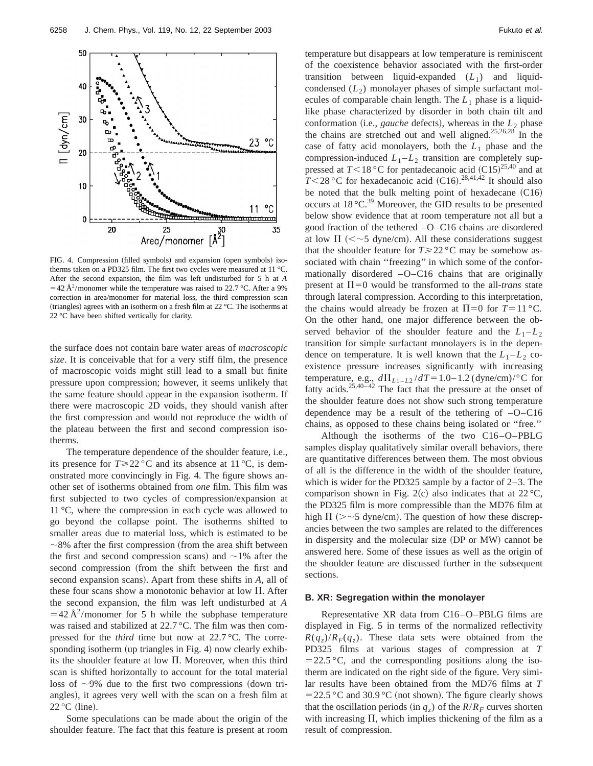

FIG. 4. Compression (filled symbols) and expansion (open symbols) isotherms taken on a PD325 film. The first two cycles were measured at 11 °C. After the second expansion, the film was left undisturbed for 5 h at *A*  $=$  42 Å<sup>2</sup>/monomer while the temperature was raised to 22.7 °C. After a 9% correction in area/monomer for material loss, the third compression scan (triangles) agrees with an isotherm on a fresh film at 22 °C. The isotherms at 22 °C have been shifted vertically for clarity.

the surface does not contain bare water areas of *macroscopic size*. It is conceivable that for a very stiff film, the presence of macroscopic voids might still lead to a small but finite pressure upon compression; however, it seems unlikely that the same feature should appear in the expansion isotherm. If there were macroscopic 2D voids, they should vanish after the first compression and would not reproduce the width of the plateau between the first and second compression isotherms.

The temperature dependence of the shoulder feature, i.e., its presence for  $T \ge 22$  °C and its absence at 11 °C, is demonstrated more convincingly in Fig. 4. The figure shows another set of isotherms obtained from *one* film. This film was first subjected to two cycles of compression/expansion at 11 °C, where the compression in each cycle was allowed to go beyond the collapse point. The isotherms shifted to smaller areas due to material loss, which is estimated to be  $\sim$ 8% after the first compression (from the area shift between the first and second compression scans) and  $\sim$ 1% after the second compression (from the shift between the first and second expansion scans). Apart from these shifts in *A*, all of these four scans show a monotonic behavior at low  $\Pi$ . After the second expansion, the film was left undisturbed at *A*  $=$  42 Å<sup>2</sup>/monomer for 5 h while the subphase temperature was raised and stabilized at 22.7 °C. The film was then compressed for the *third* time but now at 22.7 °C. The corresponding isotherm (up triangles in Fig. 4) now clearly exhibits the shoulder feature at low  $\Pi$ . Moreover, when this third scan is shifted horizontally to account for the total material loss of  $\sim$ 9% due to the first two compressions (down triangles), it agrees very well with the scan on a fresh film at  $22^{\circ}$ C (line).

Some speculations can be made about the origin of the shoulder feature. The fact that this feature is present at room

temperature but disappears at low temperature is reminiscent of the coexistence behavior associated with the first-order transition between liquid-expanded  $(L_1)$  and liquidcondensed  $(L_2)$  monolayer phases of simple surfactant molecules of comparable chain length. The  $L_1$  phase is a liquidlike phase characterized by disorder in both chain tilt and conformation (i.e., *gauche* defects), whereas in the  $L_2$  phase the chains are stretched out and well aligned.<sup>25,26,28</sup> In the case of fatty acid monolayers, both the  $L_1$  phase and the compression-induced  $L_1 - L_2$  transition are completely suppressed at  $T<18$  °C for pentadecanoic acid  $(C15)^{25,40}$  and at  $T \leq 28$  °C for hexadecanoic acid (C16).<sup>28,41,42</sup> It should also be noted that the bulk melting point of hexadecane  $(C16)$ occurs at  $18 \degree C^{39}$  Moreover, the GID results to be presented below show evidence that at room temperature not all but a good fraction of the tethered –O–C16 chains are disordered at low  $\Pi$  (<~5 dyne/cm). All these considerations suggest that the shoulder feature for  $T \ge 22$  °C may be somehow associated with chain "freezing" in which some of the conformationally disordered –O–C16 chains that are originally present at  $\Pi$ =0 would be transformed to the all-*trans* state through lateral compression. According to this interpretation, the chains would already be frozen at  $\Pi = 0$  for  $T = 11 \degree C$ . On the other hand, one major difference between the observed behavior of the shoulder feature and the  $L_1 - L_2$ transition for simple surfactant monolayers is in the dependence on temperature. It is well known that the  $L_1 - L_2$  coexistence pressure increases significantly with increasing temperature, e.g.,  $d\Pi_{L1-L2}/dT = 1.0 - 1.2$  (dyne/cm)/<sup>o</sup>C for fatty acids.<sup>25,40–42</sup> The fact that the pressure at the onset of the shoulder feature does not show such strong temperature dependence may be a result of the tethering of  $-O-C16$ chains, as opposed to these chains being isolated or ''free.''

Although the isotherms of the two C16–O–PBLG samples display qualitatively similar overall behaviors, there are quantitative differences between them. The most obvious of all is the difference in the width of the shoulder feature, which is wider for the PD325 sample by a factor of 2–3. The comparison shown in Fig. 2(c) also indicates that at  $22^{\circ}$ C, the PD325 film is more compressible than the MD76 film at high  $\Pi$  ( $>$   $\sim$  5 dyne/cm). The question of how these discrepancies between the two samples are related to the differences in dispersity and the molecular size (DP or MW) cannot be answered here. Some of these issues as well as the origin of the shoulder feature are discussed further in the subsequent sections.

#### **B. XR: Segregation within the monolayer**

Representative XR data from C16–O–PBLG films are displayed in Fig. 5 in terms of the normalized reflectivity  $R(q_z)/R_F(q_z)$ . These data sets were obtained from the PD325 films at various stages of compression at *T*  $=$  22.5 °C, and the corresponding positions along the isotherm are indicated on the right side of the figure. Very similar results have been obtained from the MD76 films at *T*  $=$  22.5 °C and 30.9 °C (not shown). The figure clearly shows that the oscillation periods (in  $q_z$ ) of the  $R/R_F$  curves shorten with increasing  $\Pi$ , which implies thickening of the film as a result of compression.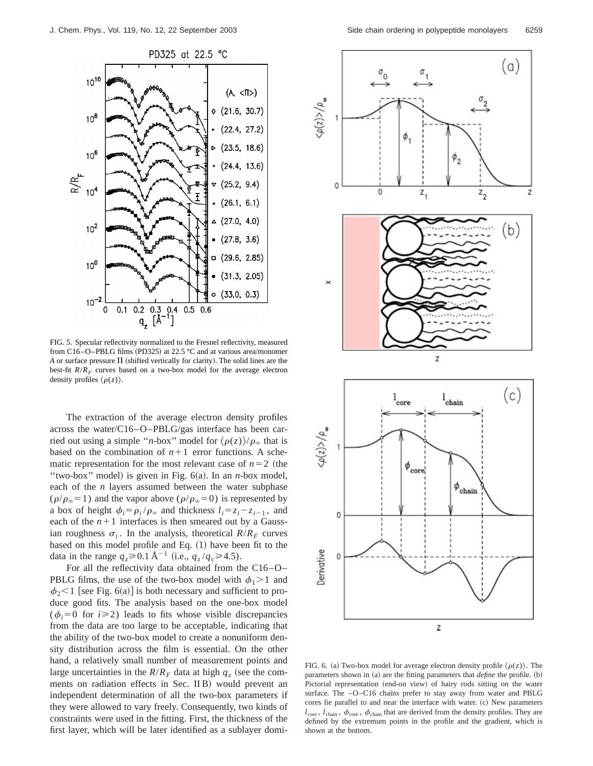

FIG. 5. Specular reflectivity normalized to the Fresnel reflectivity, measured from C16–O–PBLG films (PD325) at 22.5 °C and at various area/monomer A or surface pressure  $\Pi$  (shifted vertically for clarity). The solid lines are the best-fit  $R/R_F$  curves based on a two-box model for the average electron density profiles  $\langle \rho(z) \rangle$ .

The extraction of the average electron density profiles across the water/C16–O–PBLG/gas interface has been carried out using a simple "*n*-box" model for  $\langle \rho(z) \rangle / \rho_{\infty}$  that is based on the combination of  $n+1$  error functions. A schematic representation for the most relevant case of  $n=2$  (the "two-box" model) is given in Fig. 6(a). In an *n*-box model, each of the *n* layers assumed between the water subphase  $(\rho/\rho_{\infty} = 1)$  and the vapor above  $(\rho/\rho_{\infty} = 0)$  is represented by a box of height  $\phi_i = \rho_i / \rho_{\infty}$  and thickness  $l_i = z_i - z_{i-1}$ , and each of the  $n+1$  interfaces is then smeared out by a Gaussian roughness  $\sigma_i$ . In the analysis, theoretical  $R/R_F$  curves based on this model profile and Eq. (1) have been fit to the data in the range  $q_z \ge 0.1 \text{ Å}^{-1}$  (i.e.,  $q_z / q_c \ge 4.5$ ).

For all the reflectivity data obtained from the C16–O– PBLG films, the use of the two-box model with  $\phi_1 > 1$  and  $\phi_2$ <1 [see Fig. 6(a)] is both necessary and sufficient to produce good fits. The analysis based on the one-box model  $(\phi_i = 0 \text{ for } i \geq 2)$  leads to fits whose visible discrepancies from the data are too large to be acceptable, indicating that the ability of the two-box model to create a nonuniform density distribution across the film is essential. On the other hand, a relatively small number of measurement points and large uncertainties in the  $R/R_F$  data at high  $q_z$  (see the comments on radiation effects in Sec. IIB) would prevent an independent determination of all the two-box parameters if they were allowed to vary freely. Consequently, two kinds of constraints were used in the fitting. First, the thickness of the first layer, which will be later identified as a sublayer domi-



FIG. 6. (a) Two-box model for average electron density profile  $\langle \rho(z) \rangle$ . The parameters shown in (a) are the fitting parameters that *define* the profile. (b) Pictorial representation (end-on view) of hairy rods sitting on the water surface. The –O–C16 chains prefer to stay away from water and PBLG cores lie parallel to and near the interface with water. (c) New parameters  $l_{\text{core}}$ ,  $l_{\text{chain}}$ ,  $\phi_{\text{core}}$ ,  $\phi_{\text{chain}}$  that are derived from the density profiles. They are defined by the extremum points in the profile and the gradient, which is shown at the bottom.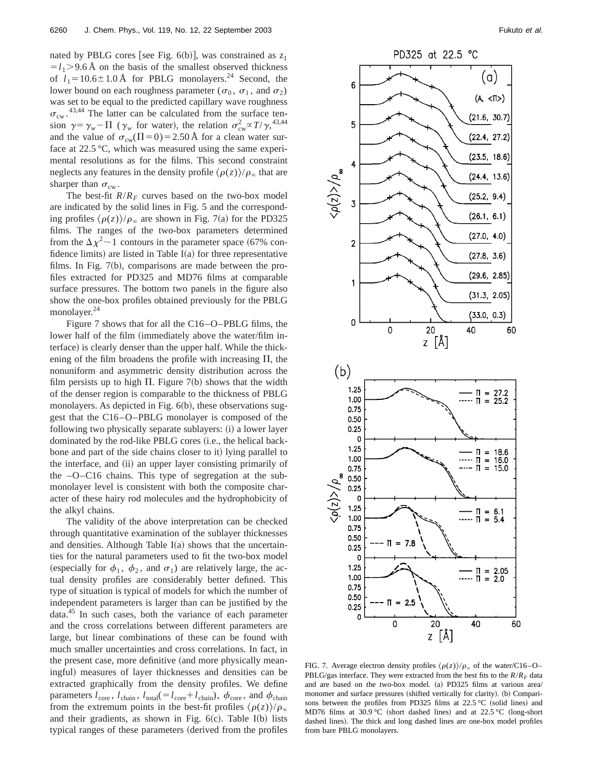nated by PBLG cores [see Fig.  $6(b)$ ], was constrained as  $z_1$  $=$  $l_1$ >9.6 Å on the basis of the smallest observed thickness of  $l_1 = 10.6 \pm 1.0 \text{ Å}$  for PBLG monolayers.<sup>24</sup> Second, the lower bound on each roughness parameter ( $\sigma_0$ ,  $\sigma_1$ , and  $\sigma_2$ ) was set to be equal to the predicted capillary wave roughness  $\sigma_{\text{cw}}$ . <sup>43,44</sup> The latter can be calculated from the surface tension  $\gamma = \gamma_w - \Pi$  ( $\gamma_w$  for water), the relation  $\sigma_{cw}^2 \propto T/\gamma$ ,<sup>43,44</sup> and the value of  $\sigma_{\text{cw}}(\Pi=0) = 2.50 \text{ Å}$  for a clean water surface at 22.5 °C, which was measured using the same experimental resolutions as for the films. This second constraint neglects any features in the density profile  $\langle \rho(z) \rangle / \rho_{\infty}$  that are sharper than  $\sigma_{cw}$ .

The best-fit  $R/R_F$  curves based on the two-box model are indicated by the solid lines in Fig. 5 and the corresponding profiles  $\langle \rho(z) \rangle / \rho_{\infty}$  are shown in Fig. 7(a) for the PD325 films. The ranges of the two-box parameters determined from the  $\Delta \chi^2$  ~ 1 contours in the parameter space (67% confidence limits) are listed in Table  $I(a)$  for three representative films. In Fig.  $7(b)$ , comparisons are made between the profiles extracted for PD325 and MD76 films at comparable surface pressures. The bottom two panels in the figure also show the one-box profiles obtained previously for the PBLG monolayer.<sup>24</sup>

Figure 7 shows that for all the C16–O–PBLG films, the lower half of the film (immediately above the water/film interface) is clearly denser than the upper half. While the thickening of the film broadens the profile with increasing  $\Pi$ , the nonuniform and asymmetric density distribution across the film persists up to high  $\Pi$ . Figure 7(b) shows that the width of the denser region is comparable to the thickness of PBLG monolayers. As depicted in Fig. 6(b), these observations suggest that the C16–O–PBLG monolayer is composed of the following two physically separate sublayers: (i) a lower layer dominated by the rod-like PBLG cores (i.e., the helical backbone and part of the side chains closer to it) lying parallel to the interface, and (ii) an upper layer consisting primarily of the –O–C16 chains. This type of segregation at the submonolayer level is consistent with both the composite character of these hairy rod molecules and the hydrophobicity of the alkyl chains.

The validity of the above interpretation can be checked through quantitative examination of the sublayer thicknesses and densities. Although Table  $I(a)$  shows that the uncertainties for the natural parameters used to fit the two-box model (especially for  $\phi_1$ ,  $\phi_2$ , and  $\sigma_1$ ) are relatively large, the actual density profiles are considerably better defined. This type of situation is typical of models for which the number of independent parameters is larger than can be justified by the  $data<sup>45</sup>$  In such cases, both the variance of each parameter and the cross correlations between different parameters are large, but linear combinations of these can be found with much smaller uncertainties and cross correlations. In fact, in the present case, more definitive (and more physically meaningful) measures of layer thicknesses and densities can be extracted graphically from the density profiles. We define parameters  $l_{\text{core}}$ ,  $l_{\text{chain}}$ ,  $l_{\text{total}} = l_{\text{core}} + l_{\text{chain}}$ ),  $\phi_{\text{core}}$ , and  $\phi_{\text{chain}}$ from the extremum points in the best-fit profiles  $\langle \rho(z) \rangle / \rho_{\infty}$ and their gradients, as shown in Fig.  $6(c)$ . Table I(b) lists typical ranges of these parameters derived from the profiles



FIG. 7. Average electron density profiles  $\langle \rho(z) \rangle / \rho_{\infty}$  of the water/C16–O– PBLG/gas interface. They were extracted from the best fits to the  $R/R<sub>F</sub>$  data and are based on the two-box model. (a) PD325 films at various area/ monomer and surface pressures (shifted vertically for clarity). (b) Comparisons between the profiles from PD325 films at  $22.5\text{ °C}$  (solid lines) and MD76 films at 30.9 °C (short dashed lines) and at 22.5 °C (long-short dashed lines). The thick and long dashed lines are one-box model profiles from bare PBLG monolayers.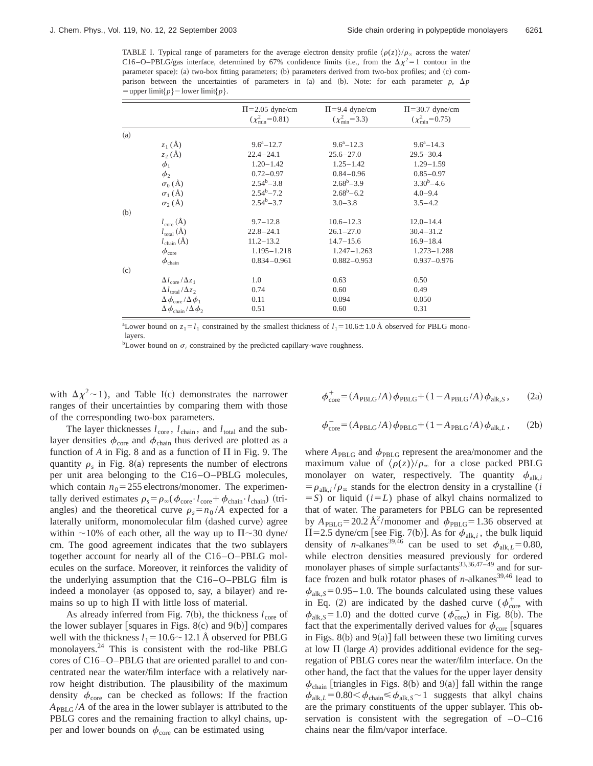TABLE I. Typical range of parameters for the average electron density profile  $\langle \rho(z) \rangle / \rho_{\infty}$  across the water/ C16–O–PBLG/gas interface, determined by 67% confidence limits (i.e., from the  $\Delta \chi^2 = 1$  contour in the parameter space): (a) two-box fitting parameters; (b) parameters derived from two-box profiles; and (c) comparison between the uncertainties of parameters in (a) and (b). Note: for each parameter  $p$ ,  $\Delta p$  $=$  upper limit{ $p$ }  $-$  lower limit{ $p$ }.

|     |                                            | $\Pi = 2.05$ dyne/cm<br>$(\chi^2_{\rm min} = 0.81)$ | $\Pi = 9.4$ dyne/cm<br>$(\chi^2_{\rm min} = 3.3)$ | $\Pi$ =30.7 dyne/cm<br>$(\chi^2_{\rm min} = 0.75)$ |
|-----|--------------------------------------------|-----------------------------------------------------|---------------------------------------------------|----------------------------------------------------|
| (a) |                                            |                                                     |                                                   |                                                    |
|     | $z_1(A)$                                   | $9.6^a - 12.7$                                      | $9.6^a - 12.3$                                    | $9.6^a - 14.3$                                     |
|     | $z_2(A)$                                   | $22.4 - 24.1$                                       | $25.6 - 27.0$                                     | $29.5 - 30.4$                                      |
|     | $\phi_1$                                   | $1.20 - 1.42$                                       | $1.25 - 1.42$                                     | $1.29 - 1.59$                                      |
|     | $\phi_2$                                   | $0.72 - 0.97$                                       | $0.84 - 0.96$                                     | $0.85 - 0.97$                                      |
|     | $\sigma_0(\AA)$                            | $2.54^b - 3.8$                                      | $2.68^{\rm b} - 3.9$                              | $3.30^b - 4.6$                                     |
|     | $\sigma_1(\check{A})$                      | $2.54^b - 7.2$                                      | $2.68^b - 6.2$                                    | $4.0 - 9.4$                                        |
|     | $\sigma_2(A)$                              | $2.54^b - 3.7$                                      | $3.0 - 3.8$                                       | $3.5 - 4.2$                                        |
| (b) |                                            |                                                     |                                                   |                                                    |
|     | $l_{\text{core}}(\text{Å})$                | $9.7 - 12.8$                                        | $10.6 - 12.3$                                     | $12.0 - 14.4$                                      |
|     | $l_{\text{total}}(\text{Å})$               | $22.8 - 24.1$                                       | $26.1 - 27.0$                                     | $30.4 - 31.2$                                      |
|     | $l_{\text{chain}}(\mathbf{A})$             | $11.2 - 13.2$                                       | $14.7 - 15.6$                                     | $16.9 - 18.4$                                      |
|     | $\phi_{\rm core}$                          | $1.195 - 1.218$                                     | $1.247 - 1.263$                                   | $1.273 - 1.288$                                    |
|     | $\phi_{\rm chain}$                         | $0.834 - 0.961$                                     | $0.882 - 0.953$                                   | $0.937 - 0.976$                                    |
| (c) |                                            |                                                     |                                                   |                                                    |
|     | $\Delta l_{\rm core}/\Delta z_1$           | 1.0                                                 | 0.63                                              | 0.50                                               |
|     | $\Delta l_{\text{total}}/\Delta z_2$       | 0.74                                                | 0.60                                              | 0.49                                               |
|     | $\Delta \phi_{\rm core}/\Delta \phi_1$     | 0.11                                                | 0.094                                             | 0.050                                              |
|     | $\Delta \phi_{\text{chain}}/\Delta \phi_2$ | 0.51                                                | 0.60                                              | 0.31                                               |

<sup>a</sup>Lower bound on  $z_1 = l_1$  constrained by the smallest thickness of  $l_1 = 10.6 \pm 1.0$  Å observed for PBLG monolayers

<sup>b</sup>Lower bound on  $\sigma_i$  constrained by the predicted capillary-wave roughness.

with  $\Delta \chi^2$  ~ 1), and Table I(c) demonstrates the narrower ranges of their uncertainties by comparing them with those of the corresponding two-box parameters.

The layer thicknesses  $l_{\text{core}}$ ,  $l_{\text{chain}}$ , and  $l_{\text{total}}$  and the sublayer densities  $\phi_{\text{core}}$  and  $\phi_{\text{chain}}$  thus derived are plotted as a function of  $A$  in Fig. 8 and as a function of  $\Pi$  in Fig. 9. The quantity  $\rho_s$  in Fig. 8(a) represents the number of electrons per unit area belonging to the C16–O–PBLG molecules, which contain  $n_0 = 255$  electrons/monomer. The experimentally derived estimates  $\rho_s = \rho_\infty (\phi_{\text{core}} \cdot l_{\text{core}} + \phi_{\text{chain}} \cdot l_{\text{chain}})$  (triangles) and the theoretical curve  $\rho_s = n_0 / A$  expected for a laterally uniform, monomolecular film (dashed curve) agree within  $\sim$ 10% of each other, all the way up to  $\Pi$   $\sim$ 30 dyne/ cm. The good agreement indicates that the two sublayers together account for nearly all of the C16–O–PBLG molecules on the surface. Moreover, it reinforces the validity of the underlying assumption that the C16–O–PBLG film is indeed a monolayer (as opposed to, say, a bilayer) and remains so up to high  $\Pi$  with little loss of material.

As already inferred from Fig. 7(b), the thickness  $l_{\text{core}}$  of the lower sublayer [squares in Figs.  $8(c)$  and  $9(b)$ ] compares well with the thickness  $l_1 = 10.6 \sim 12.1$  Å observed for PBLG monolayers.24 This is consistent with the rod-like PBLG cores of C16–O–PBLG that are oriented parallel to and concentrated near the water/film interface with a relatively narrow height distribution. The plausibility of the maximum density  $\phi_{\text{core}}$  can be checked as follows: If the fraction *A*PBLG /*A* of the area in the lower sublayer is attributed to the PBLG cores and the remaining fraction to alkyl chains, upper and lower bounds on  $\phi_{\text{core}}$  can be estimated using

$$
\phi_{\text{core}}^{+} = (A_{\text{PBLG}}/A)\phi_{\text{PBLG}} + (1 - A_{\text{PBLG}}/A)\phi_{\text{alk},S},\qquad(2a)
$$

$$
\phi_{\text{core}}^{-} = (A_{\text{PBLG}}/A) \phi_{\text{PBLG}} + (1 - A_{\text{PBLG}}/A) \phi_{\text{alk},L}, \qquad (2b)
$$

where  $A_{\text{PBLG}}$  and  $\phi_{\text{PBLG}}$  represent the area/monomer and the maximum value of  $\langle \rho(z) \rangle / \rho_{\infty}$  for a close packed PBLG monolayer on water, respectively. The quantity  $\phi_{\text{alk},i}$  $= \rho_{\text{alk},i} / \rho_{\infty}$  stands for the electron density in a crystalline (*i*  $=$  *S*) or liquid ( $i = L$ ) phase of alkyl chains normalized to that of water. The parameters for PBLG can be represented by  $A_{\text{PBLG}} = 20.2 \text{ Å}^2/\text{monomer}$  and  $\phi_{\text{PBLG}} = 1.36$  observed at  $\Pi$ =2.5 dyne/cm [see Fig. 7(b)]. As for  $\phi_{\text{alk},i}$ , the bulk liquid density of *n*-alkanes<sup>39,46</sup> can be used to set  $\phi_{\text{alk},L} = 0.80$ , while electron densities measured previously for ordered monolayer phases of simple surfactants<sup>33,36,47-49</sup> and for surface frozen and bulk rotator phases of  $n$ -alkanes<sup>39,46</sup> lead to  $\phi_{\text{alk},S}$  = 0.95–1.0. The bounds calculated using these values in Eq. (2) are indicated by the dashed curve ( $\phi_{\rm core}^+$  with  $\phi_{\text{alk},S} = 1.0$ ) and the dotted curve ( $\phi_{\text{core}}^-$ ) in Fig. 8(b). The fact that the experimentally derived values for  $\phi_{\text{core}}$  [squares in Figs.  $8(b)$  and  $9(a)$ ] fall between these two limiting curves at low  $\Pi$  (large *A*) provides additional evidence for the segregation of PBLG cores near the water/film interface. On the other hand, the fact that the values for the upper layer density  $\phi_{chain}$  [triangles in Figs. 8(b) and 9(a)] fall within the range  $\phi_{\text{alk},L}$  = 0.80  $\lt \phi_{\text{chain}} \leq \phi_{\text{alk},S}$   $\sim$  1 suggests that alkyl chains are the primary constituents of the upper sublayer. This observation is consistent with the segregation of –O–C16 chains near the film/vapor interface.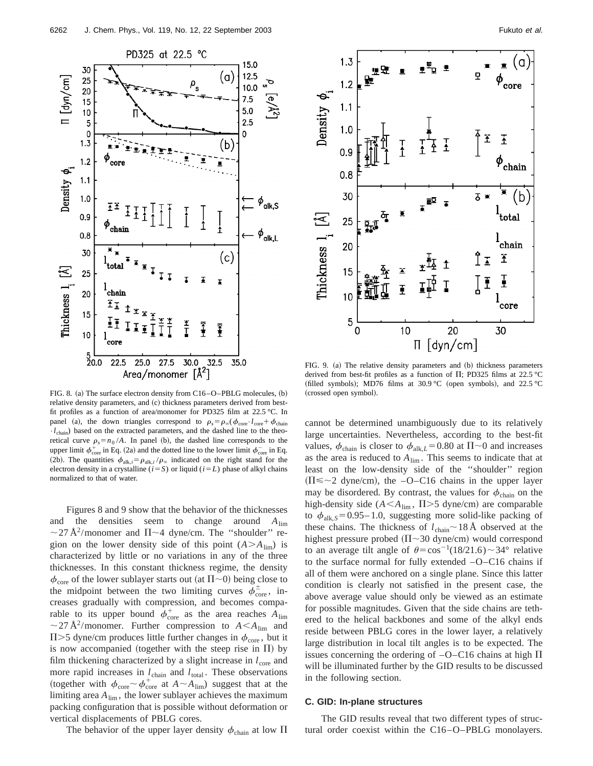

FIG. 8. (a) The surface electron density from C16–O–PBLG molecules, (b) relative density parameters, and (c) thickness parameters derived from bestfit profiles as a function of area/monomer for PD325 film at 22.5 °C. In panel (a), the down triangles correspond to  $\rho_s = \rho_\infty (\phi_{\text{core}} \cdot l_{\text{core}} + \phi_{\text{chain}})$  $\cdot$ *l*<sub>chain</sub>) based on the extracted parameters, and the dashed line to the theoretical curve  $\rho_s = n_0 / A$ . In panel (b), the dashed line corresponds to the upper limit  $\phi_{\rm core}^+$  in Eq. (2a) and the dotted line to the lower limit  $\phi_{\rm core}^-$  in Eq. (2b). The quantities  $\phi_{\text{alk},i} = \rho_{\text{alk},i} / \rho_{\infty}$  indicated on the right stand for the electron density in a crystalline  $(i = S)$  or liquid  $(i = L)$  phase of alkyl chains normalized to that of water.

Figures 8 and 9 show that the behavior of the thicknesses and the densities seem to change around *A*lim  $\sim$  27 Å<sup>2</sup>/monomer and  $\Pi$   $\sim$  4 dyne/cm. The "shoulder" region on the lower density side of this point  $(A > A_{\text{lim}})$  is characterized by little or no variations in any of the three thicknesses. In this constant thickness regime, the density  $\phi_{\text{core}}$  of the lower sublayer starts out (at  $\Pi \sim 0$ ) being close to the midpoint between the two limiting curves  $\phi_{\text{core}}^{\pm}$ , increases gradually with compression, and becomes comparable to its upper bound  $\phi_{\rm core}^+$  as the area reaches  $A_{\rm lim}$  $\sim$  27 Å<sup>2</sup>/monomer. Further compression to  $A < A_{\text{lim}}$  and  $\Pi$  >5 dyne/cm produces little further changes in  $\phi_{\text{core}}$ , but it is now accompanied (together with the steep rise in  $\Pi$ ) by film thickening characterized by a slight increase in  $l_{\text{core}}$  and more rapid increases in  $l_{\text{chain}}$  and  $l_{\text{total}}$ . These observations (together with  $\phi_{\text{core}} \sim \phi_{\text{core}}^+$  at  $A \sim A_{\text{lim}}$ ) suggest that at the limiting area  $A_{\text{lim}}$ , the lower sublayer achieves the maximum packing configuration that is possible without deformation or vertical displacements of PBLG cores.

The behavior of the upper layer density  $\phi_{chain}$  at low  $\Pi$ 



FIG. 9. (a) The relative density parameters and (b) thickness parameters derived from best-fit profiles as a function of  $\Pi$ ; PD325 films at 22.5 °C (filled symbols); MD76 films at 30.9 °C (open symbols), and 22.5 °C (crossed open symbol).

cannot be determined unambiguously due to its relatively large uncertainties. Nevertheless, according to the best-fit values,  $\phi_{\text{chain}}$  is closer to  $\phi_{\text{alk},L}$  = 0.80 at  $\Pi$  ~ 0 and increases as the area is reduced to  $A_{\text{lim}}$ . This seems to indicate that at least on the low-density side of the ''shoulder'' region  $(\Pi \leq 2$  dyne/cm), the -O-C16 chains in the upper layer may be disordered. By contrast, the values for  $\phi_{chain}$  on the high-density side  $(A \leq A_{\text{lim}}, \Pi > 5 \text{ dyne/cm})$  are comparable to  $\phi_{\text{alk},S}$  = 0.95–1.0, suggesting more solid-like packing of these chains. The thickness of  $l_{chain} \sim 18 \text{ Å}$  observed at the highest pressure probed ( $\Pi$ ~30 dyne/cm) would correspond to an average tilt angle of  $\theta = \cos^{-1}(18/21.6) \sim 34^{\circ}$  relative to the surface normal for fully extended –O–C16 chains if all of them were anchored on a single plane. Since this latter condition is clearly not satisfied in the present case, the above average value should only be viewed as an estimate for possible magnitudes. Given that the side chains are tethered to the helical backbones and some of the alkyl ends reside between PBLG cores in the lower layer, a relatively large distribution in local tilt angles is to be expected. The issues concerning the ordering of  $-O-C16$  chains at high  $\Pi$ will be illuminated further by the GID results to be discussed in the following section.

## **C. GID: In-plane structures**

The GID results reveal that two different types of structural order coexist within the C16–O–PBLG monolayers.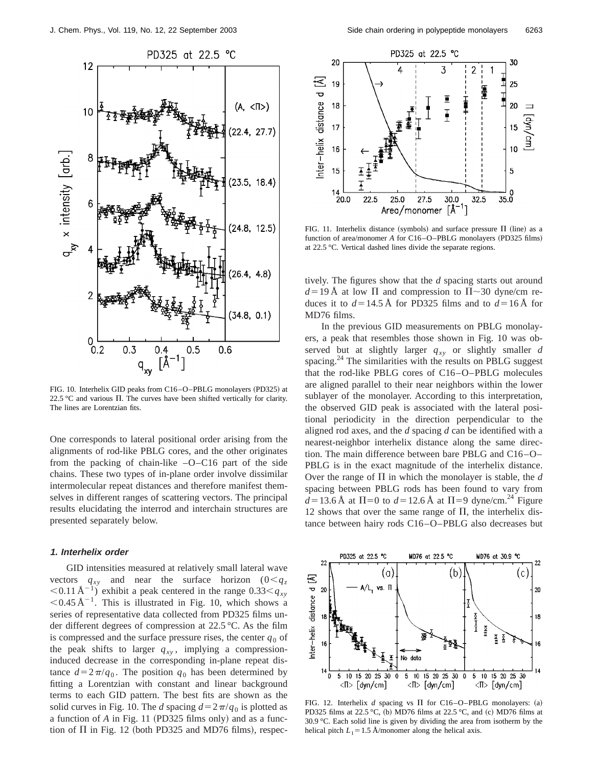

FIG. 10. Interhelix GID peaks from C16-O-PBLG monolayers (PD325) at 22.5 °C and various  $\Pi$ . The curves have been shifted vertically for clarity. The lines are Lorentzian fits.

One corresponds to lateral positional order arising from the alignments of rod-like PBLG cores, and the other originates from the packing of chain-like –O–C16 part of the side chains. These two types of in-plane order involve dissimilar intermolecular repeat distances and therefore manifest themselves in different ranges of scattering vectors. The principal results elucidating the interrod and interchain structures are presented separately below.

## **1. Interhelix order**

GID intensities measured at relatively small lateral wave vectors  $q_{xy}$  and near the surface horizon  $(0 < q_z)$  $(0.11 \text{ Å}^{-1})$  exhibit a peak centered in the range  $0.33 < q_{xy}$  $0.45 \text{ Å}^{-1}$ . This is illustrated in Fig. 10, which shows a series of representative data collected from PD325 films under different degrees of compression at 22.5 °C. As the film is compressed and the surface pressure rises, the center  $q_0$  of the peak shifts to larger  $q_{xy}$ , implying a compressioninduced decrease in the corresponding in-plane repeat distance  $d=2\pi/q_0$ . The position  $q_0$  has been determined by fitting a Lorentzian with constant and linear background terms to each GID pattern. The best fits are shown as the solid curves in Fig. 10. The *d* spacing  $d=2\pi/q_0$  is plotted as a function of *A* in Fig. 11 (PD325 films only) and as a function of  $\Pi$  in Fig. 12 (both PD325 and MD76 films), respec-



FIG. 11. Interhelix distance (symbols) and surface pressure  $\Pi$  (line) as a function of area/monomer A for C16-O-PBLG monolayers (PD325 films) at 22.5 °C. Vertical dashed lines divide the separate regions.

tively. The figures show that the *d* spacing starts out around  $d = 19$  Å at low  $\Pi$  and compression to  $\Pi \sim 30$  dyne/cm reduces it to  $d = 14.5$  Å for PD325 films and to  $d = 16$  Å for MD76 films.

In the previous GID measurements on PBLG monolayers, a peak that resembles those shown in Fig. 10 was observed but at slightly larger  $q_{xy}$  or slightly smaller *d* spacing.<sup>24</sup> The similarities with the results on PBLG suggest that the rod-like PBLG cores of C16–O–PBLG molecules are aligned parallel to their near neighbors within the lower sublayer of the monolayer. According to this interpretation, the observed GID peak is associated with the lateral positional periodicity in the direction perpendicular to the aligned rod axes, and the *d* spacing *d* can be identified with a nearest-neighbor interhelix distance along the same direction. The main difference between bare PBLG and C16–O– PBLG is in the exact magnitude of the interhelix distance. Over the range of  $\Pi$  in which the monolayer is stable, the *d* spacing between PBLG rods has been found to vary from  $d = 13.6 \text{ Å}$  at  $\Pi = 0$  to  $d = 12.6 \text{ Å}$  at  $\Pi = 9$  dyne/cm.<sup>24</sup> Figure 12 shows that over the same range of  $\Pi$ , the interhelix distance between hairy rods C16–O–PBLG also decreases but



FIG. 12. Interhelix  $d$  spacing vs  $\Pi$  for C16–O–PBLG monolayers: (a) PD325 films at 22.5 °C, (b) MD76 films at 22.5 °C, and (c) MD76 films at 30.9 °C. Each solid line is given by dividing the area from isotherm by the helical pitch  $L_1 = 1.5$  Å/monomer along the helical axis.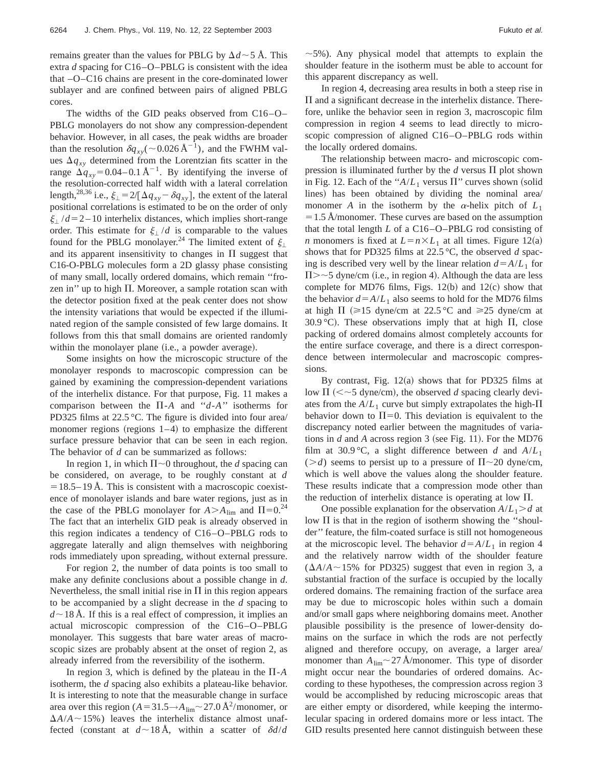remains greater than the values for PBLG by  $\Delta d \sim 5$  Å. This extra *d* spacing for C16–O–PBLG is consistent with the idea that –O–C16 chains are present in the core-dominated lower sublayer and are confined between pairs of aligned PBLG cores.

The widths of the GID peaks observed from C16–O– PBLG monolayers do not show any compression-dependent behavior. However, in all cases, the peak widths are broader than the resolution  $\delta q_{xy}(\sim 0.026 \,\text{\AA}^{-1})$ , and the FWHM values  $\Delta q_{xy}$  determined from the Lorentzian fits scatter in the range  $\Delta q_{xy} = 0.04 - 0.1 \text{ Å}^{-1}$ . By identifying the inverse of the resolution-corrected half width with a lateral correlation length,<sup>28,36</sup> i.e.,  $\xi_{\perp} = 2/[\Delta q_{xy} - \delta q_{xy}]$ , the extent of the lateral positional correlations is estimated to be on the order of only  $\xi$ <sup>1</sup>/ $d$  = 2 – 10 interhelix distances, which implies short-range order. This estimate for  $\xi$  /*d* is comparable to the values found for the PBLG monolayer.<sup>24</sup> The limited extent of  $\xi_1$ and its apparent insensitivity to changes in  $\Pi$  suggest that C16-O-PBLG molecules form a 2D glassy phase consisting of many small, locally ordered domains, which remain ''frozen in" up to high  $\Pi$ . Moreover, a sample rotation scan with the detector position fixed at the peak center does not show the intensity variations that would be expected if the illuminated region of the sample consisted of few large domains. It follows from this that small domains are oriented randomly within the monolayer plane (i.e., a powder average).

Some insights on how the microscopic structure of the monolayer responds to macroscopic compression can be gained by examining the compression-dependent variations of the interhelix distance. For that purpose, Fig. 11 makes a comparison between the  $\Pi$ -*A* and "*d*-*A*" isotherms for PD325 films at 22.5 °C. The figure is divided into four area/ monomer regions (regions  $1-4$ ) to emphasize the different surface pressure behavior that can be seen in each region. The behavior of *d* can be summarized as follows:

In region 1, in which  $\Pi \sim 0$  throughout, the *d* spacing can be considered, on average, to be roughly constant at *d*  $=$  18.5–19 Å. This is consistent with a macroscopic coexistence of monolayer islands and bare water regions, just as in the case of the PBLG monolayer for  $A > A_{\text{lim}}$  and  $\Pi = 0^{24}$ The fact that an interhelix GID peak is already observed in this region indicates a tendency of C16–O–PBLG rods to aggregate laterally and align themselves with neighboring rods immediately upon spreading, without external pressure.

For region 2, the number of data points is too small to make any definite conclusions about a possible change in *d*. Nevertheless, the small initial rise in  $\Pi$  in this region appears to be accompanied by a slight decrease in the *d* spacing to  $d \sim$ 18 Å. If this is a real effect of compression, it implies an actual microscopic compression of the C16–O–PBLG monolayer. This suggests that bare water areas of macroscopic sizes are probably absent at the onset of region 2, as already inferred from the reversibility of the isotherm.

In region 3, which is defined by the plateau in the  $\Pi$ -*A* isotherm, the *d* spacing also exhibits a plateau-like behavior. It is interesting to note that the measurable change in surface area over this region  $(A = 31.5 \rightarrow A_{\text{lim}} \sim 27.0 \,\text{\AA}^2/\text{monomer}, \text{ or}$  $\Delta A/A \sim 15\%$ ) leaves the interhelix distance almost unaffected (constant at  $d \sim 18$  Å, within a scatter of  $\delta d/d$ 

In region 4, decreasing area results in both a steep rise in  $\Pi$  and a significant decrease in the interhelix distance. Therefore, unlike the behavior seen in region 3, macroscopic film compression in region 4 seems to lead directly to microscopic compression of aligned C16–O–PBLG rods within the locally ordered domains.

The relationship between macro- and microscopic compression is illuminated further by the  $d$  versus  $\Pi$  plot shown in Fig. 12. Each of the " $A/L_1$  versus  $\Pi$ " curves shown (solid lines) has been obtained by dividing the nominal area/ monomer *A* in the isotherm by the  $\alpha$ -helix pitch of  $L_1$ -1.5 Å/monomer. These curves are based on the assumption that the total length *L* of a C16–O–PBLG rod consisting of *n* monomers is fixed at  $L = n \times L_1$  at all times. Figure 12(a) shows that for PD325 films at 22.5 °C, the observed *d* spacing is described very well by the linear relation  $d = A/L_1$  for  $\Pi$  >  $\sim$  5 dyne/cm (i.e., in region 4). Although the data are less complete for MD76 films, Figs.  $12(b)$  and  $12(c)$  show that the behavior  $d = A/L_1$  also seems to hold for the MD76 films at high  $\Pi$  ( $\geq 15$  dyne/cm at 22.5 °C and  $\geq 25$  dyne/cm at 30.9 °C). These observations imply that at high  $\Pi$ , close packing of ordered domains almost completely accounts for the entire surface coverage, and there is a direct correspondence between intermolecular and macroscopic compressions.

By contrast, Fig.  $12(a)$  shows that for PD325 films at low  $\Pi$  ( $\leq$   $\sim$  5 dyne/cm), the observed *d* spacing clearly deviates from the  $A/L_1$  curve but simply extrapolates the high- $\Pi$ behavior down to  $\Pi$ =0. This deviation is equivalent to the discrepancy noted earlier between the magnitudes of variations in  $d$  and  $A$  across region  $3$  (see Fig. 11). For the MD76 film at 30.9 °C, a slight difference between *d* and  $A/L_1$ ( $>d$ ) seems to persist up to a pressure of  $\Pi$ ~20 dyne/cm, which is well above the values along the shoulder feature. These results indicate that a compression mode other than the reduction of interhelix distance is operating at low  $\Pi$ .

One possible explanation for the observation  $A/L_1 > d$  at low  $\Pi$  is that in the region of isotherm showing the "shoulder'' feature, the film-coated surface is still not homogeneous at the microscopic level. The behavior  $d = A/L_1$  in region 4 and the relatively narrow width of the shoulder feature  $(AA/A \sim 15\%$  for PD325) suggest that even in region 3, a substantial fraction of the surface is occupied by the locally ordered domains. The remaining fraction of the surface area may be due to microscopic holes within such a domain and/or small gaps where neighboring domains meet. Another plausible possibility is the presence of lower-density domains on the surface in which the rods are not perfectly aligned and therefore occupy, on average, a larger area/ monomer than  $A_{\text{lim}} \sim 27$  Å/monomer. This type of disorder might occur near the boundaries of ordered domains. According to these hypotheses, the compression across region 3 would be accomplished by reducing microscopic areas that are either empty or disordered, while keeping the intermolecular spacing in ordered domains more or less intact. The GID results presented here cannot distinguish between these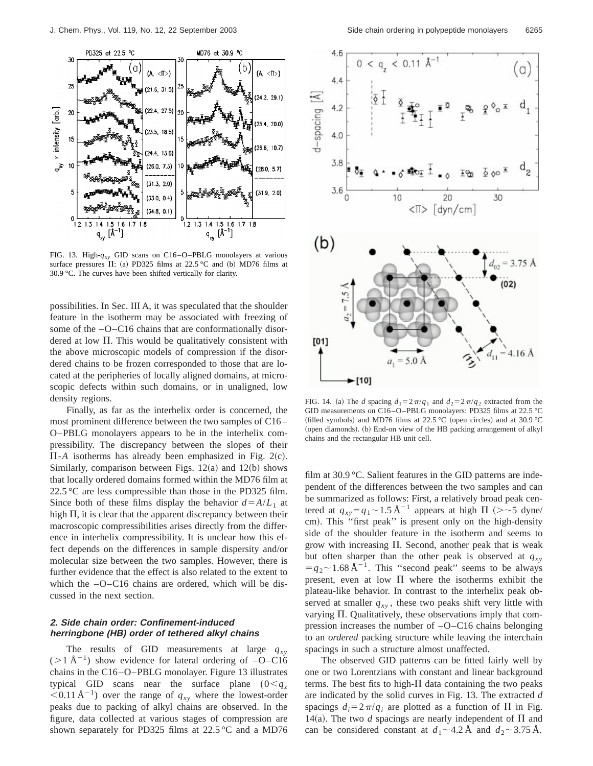

FIG. 13. High-*qxy* GID scans on C16–O–PBLG monolayers at various surface pressures  $\Pi$ : (a) PD325 films at 22.5 °C and (b) MD76 films at 30.9 °C. The curves have been shifted vertically for clarity.

possibilities. In Sec. III A, it was speculated that the shoulder feature in the isotherm may be associated with freezing of some of the  $-O-Cl6$  chains that are conformationally disordered at low  $\Pi$ . This would be qualitatively consistent with the above microscopic models of compression if the disordered chains to be frozen corresponded to those that are located at the peripheries of locally aligned domains, at microscopic defects within such domains, or in unaligned, low density regions.

Finally, as far as the interhelix order is concerned, the most prominent difference between the two samples of C16– O–PBLG monolayers appears to be in the interhelix compressibility. The discrepancy between the slopes of their  $\Pi$ -A isotherms has already been emphasized in Fig. 2(c). Similarly, comparison between Figs.  $12(a)$  and  $12(b)$  shows that locally ordered domains formed within the MD76 film at 22.5 °C are less compressible than those in the PD325 film. Since both of these films display the behavior  $d = A/L_1$  at high  $\Pi$ , it is clear that the apparent discrepancy between their macroscopic compressibilities arises directly from the difference in interhelix compressibility. It is unclear how this effect depends on the differences in sample dispersity and/or molecular size between the two samples. However, there is further evidence that the effect is also related to the extent to which the  $-O-C16$  chains are ordered, which will be discussed in the next section.

# **2. Side chain order: Confinement-induced herringbone (HB) order of tethered alkyl chains**

The results of GID measurements at large  $q_{xy}$  $(>1 \text{ Å}^{-1})$  show evidence for lateral ordering of  $-O-C16$ chains in the C16–O–PBLG monolayer. Figure 13 illustrates typical GID scans near the surface plane  $(0 < q_z)$  $0.11 \text{ Å}^{-1}$ ) over the range of  $q_{xy}$  where the lowest-order peaks due to packing of alkyl chains are observed. In the figure, data collected at various stages of compression are shown separately for PD325 films at  $22.5\text{ °C}$  and a MD76



FIG. 14. (a) The *d* spacing  $d_1 = 2\pi/q_1$  and  $d_2 = 2\pi/q_2$  extracted from the GID measurements on C16–O–PBLG monolayers: PD325 films at 22.5 °C (filled symbols) and MD76 films at 22.5 °C (open circles) and at 30.9 °C (open diamonds). (b) End-on view of the HB packing arrangement of alkyl chains and the rectangular HB unit cell.

film at 30.9 °C. Salient features in the GID patterns are independent of the differences between the two samples and can be summarized as follows: First, a relatively broad peak centered at  $q_{xy} = q_1 \sim 1.5 \text{ Å}^{-1}$  appears at high  $\Pi$  (> ~5 dyne/ cm). This "first peak" is present only on the high-density side of the shoulder feature in the isotherm and seems to grow with increasing  $\Pi$ . Second, another peak that is weak but often sharper than the other peak is observed at  $q_{xy}$  $=q_2$   $\sim$  1.68 Å<sup>-1</sup>. This "second peak" seems to be always present, even at low  $\Pi$  where the isotherms exhibit the plateau-like behavior. In contrast to the interhelix peak observed at smaller  $q_{xy}$ , these two peaks shift very little with varying  $\Pi$ . Qualitatively, these observations imply that compression increases the number of –O–C16 chains belonging to an *ordered* packing structure while leaving the interchain spacings in such a structure almost unaffected.

The observed GID patterns can be fitted fairly well by one or two Lorentzians with constant and linear background terms. The best fits to high- $\Pi$  data containing the two peaks are indicated by the solid curves in Fig. 13. The extracted *d* spacings  $d_i = 2\pi/q_i$  are plotted as a function of  $\Pi$  in Fig. 14(a). The two *d* spacings are nearly independent of  $\Pi$  and can be considered constant at  $d_1 \sim 4.2 \text{ Å}$  and  $d_2 \sim 3.75 \text{ Å}$ .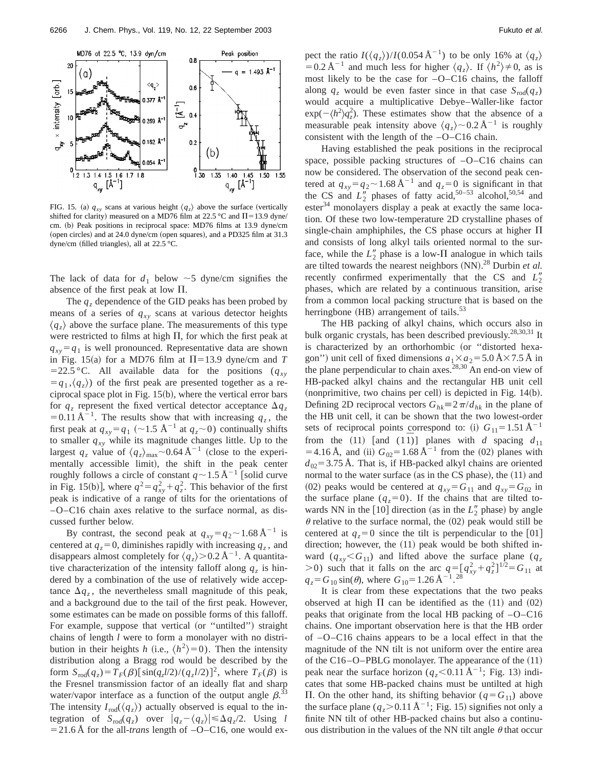

FIG. 15. (a)  $q_{xy}$  scans at various height  $\langle q_z \rangle$  above the surface (vertically shifted for clarity) measured on a MD76 film at 22.5 °C and  $\Pi$ =13.9 dyne/ cm. (b) Peak positions in reciprocal space: MD76 films at 13.9 dyne/cm (open circles) and at 24.0 dyne/cm (open squares), and a PD325 film at 31.3 dyne/cm (filled triangles), all at  $22.5 \text{ °C}$ .

The lack of data for  $d_1$  below  $\sim$  5 dyne/cm signifies the absence of the first peak at low  $\Pi$ .

The  $q<sub>z</sub>$  dependence of the GID peaks has been probed by means of a series of  $q_{xy}$  scans at various detector heights  $\langle q_z \rangle$  above the surface plane. The measurements of this type were restricted to films at high  $\Pi$ , for which the first peak at  $q_{xy} = q_1$  is well pronounced. Representative data are shown in Fig. 15(a) for a MD76 film at  $\Pi$ =13.9 dyne/cm and *T*  $=$  22.5 °C. All available data for the positions ( $q_{xy}$ )  $= q_1, \langle q_z \rangle$  of the first peak are presented together as a reciprocal space plot in Fig. 15(b), where the vertical error bars for  $q_z$  represent the fixed vertical detector acceptance  $\Delta q_z$  $= 0.11 \text{ Å}^{-1}$ . The results show that with increasing  $q_z$ , the first peak at  $q_{xy} = q_1$  (~1.5 Å<sup>-1</sup> at  $q_z$ ~0) continually shifts to smaller  $q_{xy}$  while its magnitude changes little. Up to the largest  $q_z$  value of  $\langle q_z \rangle_{\text{max}}$  ~0.64 Å<sup>-1</sup> (close to the experimentally accessible limit), the shift in the peak center roughly follows a circle of constant  $q \sim 1.5 \, \text{\AA}^{-1}$  [solid curve in Fig. 15(b)], where  $q^2 = q_{xy}^2 + q_z^2$ . This behavior of the first peak is indicative of a range of tilts for the orientations of –O–C16 chain axes relative to the surface normal, as discussed further below.

By contrast, the second peak at  $q_{xy} = q_2 \sim 1.68 \text{ Å}^{-1}$  is centered at  $q_z = 0$ , diminishes rapidly with increasing  $q_z$ , and disappears almost completely for  $\langle q_z \rangle > 0.2 \text{ Å}^{-1}$ . A quantitative characterization of the intensity falloff along  $q<sub>z</sub>$  is hindered by a combination of the use of relatively wide acceptance  $\Delta q_z$ , the nevertheless small magnitude of this peak, and a background due to the tail of the first peak. However, some estimates can be made on possible forms of this falloff. For example, suppose that vertical (or "untilted") straight chains of length *l* were to form a monolayer with no distribution in their heights *h* (i.e.,  $\langle h^2 \rangle = 0$ ). Then the intensity distribution along a Bragg rod would be described by the form  $S_{\text{rod}}(q_z) = T_F(\beta) [\sin(q_z l/2)/(q_z l/2)]^2$ , where  $T_F(\beta)$  is the Fresnel transmission factor of an ideally flat and sharp water/vapor interface as a function of the output angle  $\beta$ .<sup>33</sup> The intensity  $I_{\text{rod}}(\langle q_z \rangle)$  actually observed is equal to the integration of  $S_{\text{rod}}(q_z)$  over  $|q_z - \langle q_z \rangle| \le \Delta q_z/2$ . Using *l*  $=$  21.6 Å for the all-*trans* length of  $-O$ –C16, one would expect the ratio  $I(\langle q_z \rangle) / I(0.054 \text{ Å}^{-1})$  to be only 16% at  $\langle q_z \rangle$  $= 0.2 \text{ Å}^{-1}$  and much less for higher  $\langle q_z \rangle$ . If  $\langle h^2 \rangle \neq 0$ , as is most likely to be the case for –O–C16 chains, the falloff along  $q_z$  would be even faster since in that case  $S_{\text{rod}}(q_z)$ would acquire a multiplicative Debye–Waller-like factor  $\exp(-\langle h^2 \rangle q_z^2)$ . These estimates show that the absence of a measurable peak intensity above  $\langle q_z \rangle$  ~ 0.2 Å<sup>-1</sup> is roughly consistent with the length of the –O–C16 chain.

Having established the peak positions in the reciprocal space, possible packing structures of –O–C16 chains can now be considered. The observation of the second peak centered at  $q_{xy} = q_2 \sim 1.68 \text{ Å}^{-1}$  and  $q_z = 0$  is significant in that the CS and  $L_2''$  phases of fatty acid,<sup>50–53</sup> alcohol,<sup>50,54</sup> and  $\text{ester}^{34}$  monolayers display a peak at exactly the same location. Of these two low-temperature 2D crystalline phases of single-chain amphiphiles, the CS phase occurs at higher  $\Pi$ and consists of long alkyl tails oriented normal to the surface, while the  $L_2''$  phase is a low- $\Pi$  analogue in which tails are tilted towards the nearest neighbors (NN).<sup>28</sup> Durbin *et al.* recently confirmed experimentally that the CS and  $L_2''$ phases, which are related by a continuous transition, arise from a common local packing structure that is based on the herringbone (HB) arrangement of tails.<sup>53</sup>

The HB packing of alkyl chains, which occurs also in bulk organic crystals, has been described previously.<sup>28,30,31</sup> It is characterized by an orthorhombic (or "distorted hexagon") unit cell of fixed dimensions  $a_1 \times a_2 = 5.0 \text{ Å} \times 7.5 \text{ Å}$  in the plane perpendicular to chain axes.<sup>28,30</sup> An end-on view of HB-packed alkyl chains and the rectangular HB unit cell (nonprimitive, two chains per cell) is depicted in Fig. 14(b). Defining 2D reciprocal vectors  $G_{hk} \equiv 2\pi/d_{hk}$  in the plane of the HB unit cell, it can be shown that the two lowest-order sets of reciprocal points correspond to: (i)  $G_{11} = 1.51 \text{ Å}^{-1}$ from the (11) [and (11)] planes with *d* spacing  $d_{11}$  $=$  4.16 Å, and (ii)  $G_{02} = 1.68 \text{ Å}^{-1}$  from the (02) planes with  $d_{02}$ = 3.75 Å. That is, if HB-packed alkyl chains are oriented normal to the water surface (as in the CS phase), the (11) and (02) peaks would be centered at  $q_{xy} = G_{11}$  and  $q_{xy} = G_{02}$  in the surface plane  $(q_z=0)$ . If the chains that are tilted towards NN in the  $[10]$  direction (as in the  $L_2''$  phase) by angle  $\theta$  relative to the surface normal, the (02) peak would still be centered at  $q_z = 0$  since the tilt is perpendicular to the [01] direction; however, the  $(11)$  peak would be both shifted inward  $(q_{xy} < G_{11})$  and lifted above the surface plane  $(q_z)$  $(0, 0)$  such that it falls on the arc  $q = [q_{xy}^2 + q_z^2]^{1/2} = G_{11}$  at  $q_z = G_{10} \sin(\theta)$ , where  $G_{10} = 1.26 \text{ Å}^{-1}$ .<sup>28</sup>

It is clear from these expectations that the two peaks observed at high  $\Pi$  can be identified as the (11) and (02) peaks that originate from the local HB packing of –O–C16 chains. One important observation here is that the HB order of –O–C16 chains appears to be a local effect in that the magnitude of the NN tilt is not uniform over the entire area of the C16–O–PBLG monolayer. The appearance of the  $(11)$ peak near the surface horizon  $(q_z<0.11 \text{ Å}^{-1})$ ; Fig. 13) indicates that some HB-packed chains must be untilted at high  $\Pi$ . On the other hand, its shifting behavior ( $q = G_{11}$ ) above the surface plane  $(q_z > 0.11 \text{ Å}^{-1}$ ; Fig. 15) signifies not only a finite NN tilt of other HB-packed chains but also a continuous distribution in the values of the NN tilt angle  $\theta$  that occur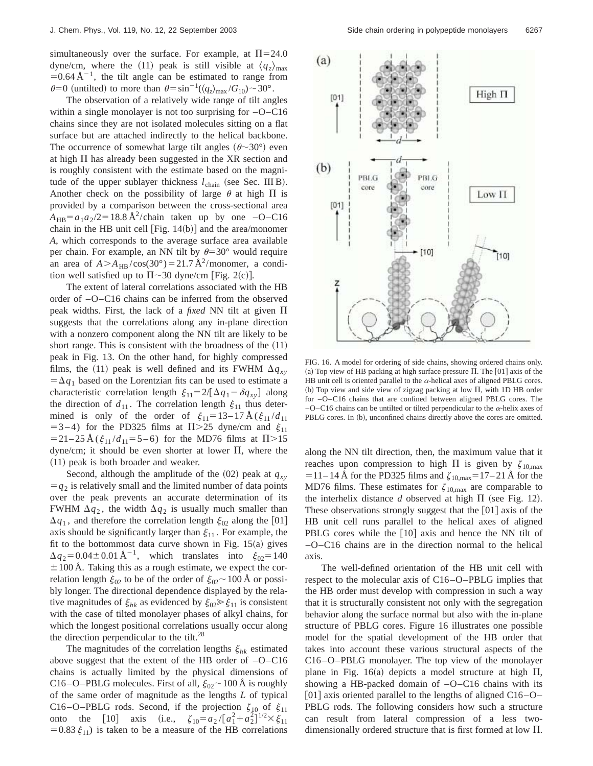simultaneously over the surface. For example, at  $\Pi = 24.0$ dyne/cm, where the (11) peak is still visible at  $\langle q_z \rangle_{\text{max}}$  $= 0.64 \text{ Å}^{-1}$ , the tilt angle can be estimated to range from  $\theta = 0$  (untilted) to more than  $\theta = \sin^{-1}(\langle q_z \rangle_{\text{max}} / G_{10}) \sim 30^\circ$ .

The observation of a relatively wide range of tilt angles within a single monolayer is not too surprising for –O–C16 chains since they are not isolated molecules sitting on a flat surface but are attached indirectly to the helical backbone. The occurrence of somewhat large tilt angles  $(\theta \sim 30^{\circ})$  even at high  $\Pi$  has already been suggested in the XR section and is roughly consistent with the estimate based on the magnitude of the upper sublayer thickness  $l_{chain}$  (see Sec. III B). Another check on the possibility of large  $\theta$  at high  $\Pi$  is provided by a comparison between the cross-sectional area  $A_{HB} = a_1 a_2 / 2 = 18.8 \text{ Å}^2/\text{chain}$  taken up by one  $-O - C16$ chain in the HB unit cell  $[Fig. 14(b)]$  and the area/monomer *A*, which corresponds to the average surface area available per chain. For example, an NN tilt by  $\theta = 30^{\circ}$  would require an area of  $A > A_{HB}/cos(30^\circ) = 21.7 \text{ Å}^2/monomer$ , a condition well satisfied up to  $\Pi \sim 30$  dyne/cm [Fig. 2(c)].

The extent of lateral correlations associated with the HB order of –O–C16 chains can be inferred from the observed peak widths. First, the lack of a *fixed* NN tilt at given  $\Pi$ suggests that the correlations along any in-plane direction with a nonzero component along the NN tilt are likely to be short range. This is consistent with the broadness of the  $(11)$ peak in Fig. 13. On the other hand, for highly compressed films, the (11) peak is well defined and its FWHM  $\Delta q_{xy}$  $=\Delta q_1$  based on the Lorentzian fits can be used to estimate a characteristic correlation length  $\xi_{11} = 2/[\Delta q_1 - \delta q_{xy}]$  along the direction of  $d_{11}$ . The correlation length  $\xi_{11}$  thus determined is only of the order of  $\xi_{11} = 13 - 17 \text{ Å} (\xi_{11}/d_{11})$  $= 3 - 4$ ) for the PD325 films at  $\Pi > 25$  dyne/cm and  $\xi_{11}$  $=$  21–25 Å ( $\xi_{11}/d_{11}$ = 5–6) for the MD76 films at  $\Pi$ >15 dyne/cm; it should be even shorter at lower  $\Pi$ , where the (11) peak is both broader and weaker.

Second, although the amplitude of the  $(02)$  peak at  $q_{xy}$  $= q_2$  is relatively small and the limited number of data points over the peak prevents an accurate determination of its FWHM  $\Delta q_2$ , the width  $\Delta q_2$  is usually much smaller than  $\Delta q_1$ , and therefore the correlation length  $\xi_{02}$  along the [01] axis should be significantly larger than  $\xi_{11}$ . For example, the fit to the bottommost data curve shown in Fig.  $15(a)$  gives  $\Delta q_2 = 0.04 \pm 0.01 \text{ Å}^{-1}$ , which translates into  $\xi_{02} = 140$  $\pm 100$  Å. Taking this as a rough estimate, we expect the correlation length  $\xi_{02}$  to be of the order of  $\xi_{02}$  ~ 100 Å or possibly longer. The directional dependence displayed by the relative magnitudes of  $\xi_{hk}$  as evidenced by  $\xi_{02} \ge \xi_{11}$  is consistent with the case of tilted monolayer phases of alkyl chains, for which the longest positional correlations usually occur along the direction perpendicular to the tilt. $^{28}$ 

The magnitudes of the correlation lengths  $\xi_{hk}$  estimated above suggest that the extent of the HB order of  $-O-C16$ chains is actually limited by the physical dimensions of C16–O–PBLG molecules. First of all,  $\xi_{02}$  ~ 100 Å is roughly of the same order of magnitude as the lengths *L* of typical C16–O–PBLG rods. Second, if the projection  $\zeta_{10}$  of  $\xi_{11}$ onto the [10] axis (i.e.,  $\zeta_{10} = a_2 / [a_1^2 + a_2^2]^{1/2} \times \zeta_{11}$  $= 0.83 \xi_{11}$ ) is taken to be a measure of the HB correlations



FIG. 16. A model for ordering of side chains, showing ordered chains only. (a) Top view of HB packing at high surface pressure  $\Pi$ . The [01] axis of the HB unit cell is oriented parallel to the  $\alpha$ -helical axes of aligned PBLG cores. (b) Top view and side view of zigzag packing at low  $\Pi$ , with 1D HB order for –O–C16 chains that are confined between aligned PBLG cores. The  $-O$ –C16 chains can be untilted or tilted perpendicular to the  $\alpha$ -helix axes of PBLG cores. In (b), unconfined chains directly above the cores are omitted.

along the NN tilt direction, then, the maximum value that it reaches upon compression to high  $\Pi$  is given by  $\zeta_{10,\text{max}}$  $=$ 11–14 Å for the PD325 films and  $\zeta_{10,max}$ =17–21 Å for the MD76 films. These estimates for  $\zeta_{10,\text{max}}$  are comparable to the interhelix distance  $d$  observed at high  $\Pi$  (see Fig. 12). These observations strongly suggest that the  $[01]$  axis of the HB unit cell runs parallel to the helical axes of aligned PBLG cores while the  $[10]$  axis and hence the NN tilt of –O–C16 chains are in the direction normal to the helical axis.

The well-defined orientation of the HB unit cell with respect to the molecular axis of C16–O–PBLG implies that the HB order must develop with compression in such a way that it is structurally consistent not only with the segregation behavior along the surface normal but also with the in-plane structure of PBLG cores. Figure 16 illustrates one possible model for the spatial development of the HB order that takes into account these various structural aspects of the C16–O–PBLG monolayer. The top view of the monolayer plane in Fig. 16(a) depicts a model structure at high  $\Pi$ , showing a HB-packed domain of  $-O-C16$  chains with its [01] axis oriented parallel to the lengths of aligned  $C16 - O -$ PBLG rods. The following considers how such a structure can result from lateral compression of a less twodimensionally ordered structure that is first formed at low  $\Pi$ .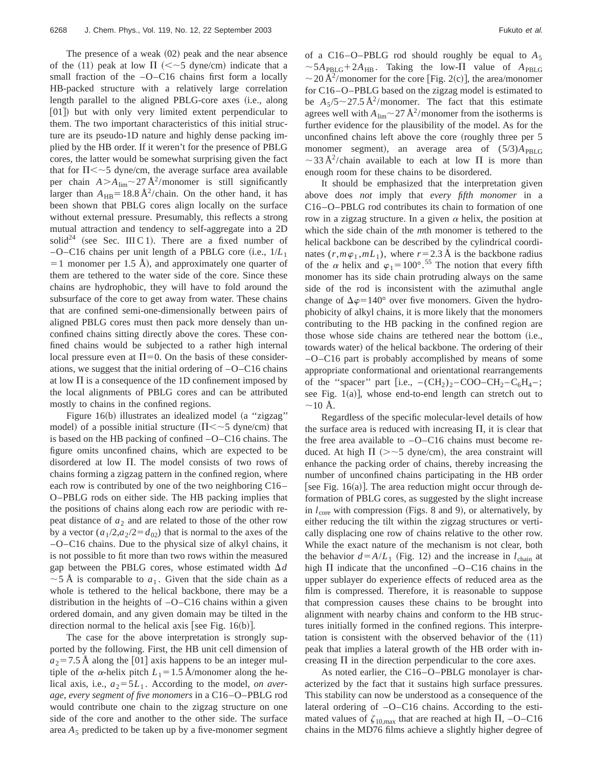The presence of a weak  $(02)$  peak and the near absence of the (11) peak at low  $\Pi$  (<~5 dyne/cm) indicate that a small fraction of the  $-O-C16$  chains first form a locally HB-packed structure with a relatively large correlation length parallel to the aligned PBLG-core axes (i.e., along [01]) but with only very limited extent perpendicular to them. The two important characteristics of this initial structure are its pseudo-1D nature and highly dense packing implied by the HB order. If it weren't for the presence of PBLG cores, the latter would be somewhat surprising given the fact that for  $\Pi \leq 5$  dyne/cm, the average surface area available per chain  $A > A_{\text{lim}} \sim 27 \text{ Å}^2/\text{monomer}$  is still significantly larger than  $A_{HB} = 18.8 \text{ Å}^2/\text{chain}$ . On the other hand, it has been shown that PBLG cores align locally on the surface without external pressure. Presumably, this reflects a strong mutual attraction and tendency to self-aggregate into a 2D solid<sup>24</sup> (see Sec. III C 1). There are a fixed number of  $-$ O–C16 chains per unit length of a PBLG core (i.e.,  $1/L<sub>1</sub>$ )  $=$  1 monomer per 1.5 Å), and approximately one quarter of them are tethered to the water side of the core. Since these chains are hydrophobic, they will have to fold around the subsurface of the core to get away from water. These chains that are confined semi-one-dimensionally between pairs of aligned PBLG cores must then pack more densely than unconfined chains sitting directly above the cores. These confined chains would be subjected to a rather high internal local pressure even at  $\Pi$ =0. On the basis of these considerations, we suggest that the initial ordering of  $-O-C16$  chains at low  $\Pi$  is a consequence of the 1D confinement imposed by the local alignments of PBLG cores and can be attributed mostly to chains in the confined regions.

Figure 16(b) illustrates an idealized model (a "zigzag" model) of a possible initial structure ( $\Pi \lt \sim 5$  dyne/cm) that is based on the HB packing of confined –O–C16 chains. The figure omits unconfined chains, which are expected to be disordered at low  $\Pi$ . The model consists of two rows of chains forming a zigzag pattern in the confined region, where each row is contributed by one of the two neighboring C16– O–PBLG rods on either side. The HB packing implies that the positions of chains along each row are periodic with repeat distance of  $a_2$  and are related to those of the other row by a vector  $\left(a_1/2, a_2/2 = d_{02}\right)$  that is normal to the axes of the –O–C16 chains. Due to the physical size of alkyl chains, it is not possible to fit more than two rows within the measured gap between the PBLG cores, whose estimated width  $\Delta d$  $\sim$  5 Å is comparable to  $a_1$ . Given that the side chain as a whole is tethered to the helical backbone, there may be a distribution in the heights of –O–C16 chains within a given ordered domain, and any given domain may be tilted in the direction normal to the helical axis [see Fig.  $16(b)$ ].

The case for the above interpretation is strongly supported by the following. First, the HB unit cell dimension of  $a_2$ =7.5 Å along the [01] axis happens to be an integer multiple of the  $\alpha$ -helix pitch  $L_1 = 1.5$  Å/monomer along the helical axis, i.e.,  $a_2 = 5L_1$ . According to the model, *on average, every segment of five monomers* in a C16–O–PBLG rod would contribute one chain to the zigzag structure on one side of the core and another to the other side. The surface area  $A_5$  predicted to be taken up by a five-monomer segment of a C16–O–PBLG rod should roughly be equal to  $A_5$  $\sim$  5*A*<sub>PBLG</sub>+2*A*<sub>HB</sub>. Taking the low- $\Pi$  value of *A*<sub>PBLG</sub>  $\sim$  20 Å<sup>2</sup>/monomer for the core [Fig. 2(c)], the area/monomer for C16–O–PBLG based on the zigzag model is estimated to be  $A_5/5 \sim 27.5 \text{ Å}^2/\text{monomer}$ . The fact that this estimate agrees well with  $A_{\text{lim}}$  ~ 27 Å<sup>2</sup>/monomer from the isotherms is further evidence for the plausibility of the model. As for the unconfined chains left above the core (roughly three per 5 monomer segment), an average area of  $(5/3)A_{\text{PBLG}}$  $\sim$ 33 Å<sup>2</sup>/chain available to each at low  $\Pi$  is more than enough room for these chains to be disordered.

It should be emphasized that the interpretation given above does *not* imply that *every fifth monomer* in a C16–O–PBLG rod contributes its chain to formation of one row in a zigzag structure. In a given  $\alpha$  helix, the position at which the side chain of the *m*th monomer is tethered to the helical backbone can be described by the cylindrical coordinates  $(r, m\varphi_1, mL_1)$ , where  $r = 2.3$  Å is the backbone radius of the  $\alpha$  helix and  $\varphi_1 = 100^\circ$ .<sup>55</sup> The notion that every fifth monomer has its side chain protruding always on the same side of the rod is inconsistent with the azimuthal angle change of  $\Delta \varphi = 140^{\circ}$  over five monomers. Given the hydrophobicity of alkyl chains, it is more likely that the monomers contributing to the HB packing in the confined region are those whose side chains are tethered near the bottom (i.e., towards water) of the helical backbone. The ordering of their –O–C16 part is probably accomplished by means of some appropriate conformational and orientational rearrangements of the "spacer" part [i.e.,  $-(CH<sub>2</sub>)<sub>2</sub>-COO-CH<sub>2</sub>-C<sub>6</sub>H<sub>4</sub>-;$ see Fig.  $1(a)$ ], whose end-to-end length can stretch out to  $\sim$ 10 Å.

Regardless of the specific molecular-level details of how the surface area is reduced with increasing  $\Pi$ , it is clear that the free area available to –O–C16 chains must become reduced. At high  $\Pi$  ( $>$   $\sim$  5 dyne/cm), the area constraint will enhance the packing order of chains, thereby increasing the number of unconfined chains participating in the HB order [see Fig.  $16(a)$ ]. The area reduction might occur through deformation of PBLG cores, as suggested by the slight increase in  $l_{\text{core}}$  with compression (Figs. 8 and 9), or alternatively, by either reducing the tilt within the zigzag structures or vertically displacing one row of chains relative to the other row. While the exact nature of the mechanism is not clear, both the behavior  $d = A/L_1$  (Fig. 12) and the increase in  $l_{chain}$  at high  $\Pi$  indicate that the unconfined  $-O-C16$  chains in the upper sublayer do experience effects of reduced area as the film is compressed. Therefore, it is reasonable to suppose that compression causes these chains to be brought into alignment with nearby chains and conform to the HB structures initially formed in the confined regions. This interpretation is consistent with the observed behavior of the  $(11)$ peak that implies a lateral growth of the HB order with increasing  $\Pi$  in the direction perpendicular to the core axes.

As noted earlier, the C16–O–PBLG monolayer is characterized by the fact that it sustains high surface pressures. This stability can now be understood as a consequence of the lateral ordering of –O–C16 chains. According to the estimated values of  $\zeta_{10,max}$  that are reached at high  $\Pi$ , -O-C16 chains in the MD76 films achieve a slightly higher degree of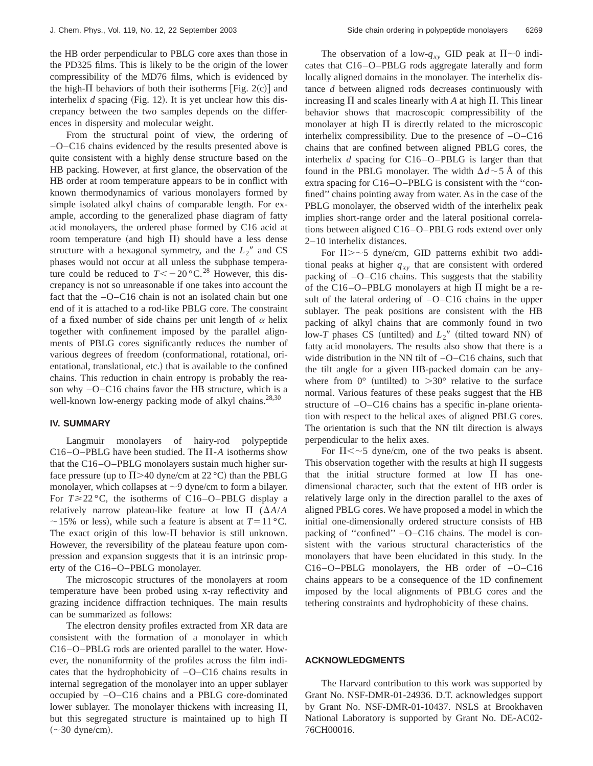the HB order perpendicular to PBLG core axes than those in the PD325 films. This is likely to be the origin of the lower compressibility of the MD76 films, which is evidenced by the high- $\Pi$  behaviors of both their isotherms [Fig. 2(c)] and interhelix  $d$  spacing (Fig. 12). It is yet unclear how this discrepancy between the two samples depends on the differences in dispersity and molecular weight.

From the structural point of view, the ordering of –O–C16 chains evidenced by the results presented above is quite consistent with a highly dense structure based on the HB packing. However, at first glance, the observation of the HB order at room temperature appears to be in conflict with known thermodynamics of various monolayers formed by simple isolated alkyl chains of comparable length. For example, according to the generalized phase diagram of fatty acid monolayers, the ordered phase formed by C16 acid at room temperature (and high  $\Pi$ ) should have a less dense structure with a hexagonal symmetry, and the  $L_2$ <sup>"</sup> and CS phases would not occur at all unless the subphase temperature could be reduced to  $T < -20$  °C.<sup>28</sup> However, this discrepancy is not so unreasonable if one takes into account the fact that the –O–C16 chain is not an isolated chain but one end of it is attached to a rod-like PBLG core. The constraint of a fixed number of side chains per unit length of  $\alpha$  helix together with confinement imposed by the parallel alignments of PBLG cores significantly reduces the number of various degrees of freedom (conformational, rotational, orientational, translational, etc.) that is available to the confined chains. This reduction in chain entropy is probably the reason why –O–C16 chains favor the HB structure, which is a well-known low-energy packing mode of alkyl chains.<sup>28,30</sup>

#### **IV. SUMMARY**

Langmuir monolayers of hairy-rod polypeptide C16–O–PBLG have been studied. The  $\Pi$ -A isotherms show that the C16–O–PBLG monolayers sustain much higher surface pressure (up to  $\Pi$  >40 dyne/cm at 22 °C) than the PBLG monolayer, which collapses at  $\sim$ 9 dyne/cm to form a bilayer. For  $T \ge 22$  °C, the isotherms of C16–O–PBLG display a relatively narrow plateau-like feature at low  $\Pi$  ( $\Delta A/A$ )  $\sim$  15% or less), while such a feature is absent at *T* = 11 °C. The exact origin of this low- $\Pi$  behavior is still unknown. However, the reversibility of the plateau feature upon compression and expansion suggests that it is an intrinsic property of the C16–O–PBLG monolayer.

The microscopic structures of the monolayers at room temperature have been probed using x-ray reflectivity and grazing incidence diffraction techniques. The main results can be summarized as follows:

The electron density profiles extracted from XR data are consistent with the formation of a monolayer in which C16–O–PBLG rods are oriented parallel to the water. However, the nonuniformity of the profiles across the film indicates that the hydrophobicity of –O–C16 chains results in internal segregation of the monolayer into an upper sublayer occupied by –O–C16 chains and a PBLG core-dominated lower sublayer. The monolayer thickens with increasing  $\Pi$ , but this segregated structure is maintained up to high  $\Pi$  $(\sim]30 \text{ dyne/cm}).$ 

The observation of a low- $q_{xy}$  GID peak at  $\Pi \sim 0$  indicates that C16–O–PBLG rods aggregate laterally and form locally aligned domains in the monolayer. The interhelix distance *d* between aligned rods decreases continuously with increasing  $\Pi$  and scales linearly with  $A$  at high  $\Pi$ . This linear behavior shows that macroscopic compressibility of the monolayer at high  $\Pi$  is directly related to the microscopic interhelix compressibility. Due to the presence of –O–C16 chains that are confined between aligned PBLG cores, the interhelix *d* spacing for C16–O–PBLG is larger than that found in the PBLG monolayer. The width  $\Delta d \sim 5$  Å of this extra spacing for C16–O–PBLG is consistent with the ''confined'' chains pointing away from water. As in the case of the PBLG monolayer, the observed width of the interhelix peak implies short-range order and the lateral positional correlations between aligned C16–O–PBLG rods extend over only 2–10 interhelix distances.

For  $\Pi$ >~5 dyne/cm, GID patterns exhibit two additional peaks at higher  $q_{xy}$  that are consistent with ordered packing of –O–C16 chains. This suggests that the stability of the C16–O–PBLG monolayers at high  $\Pi$  might be a result of the lateral ordering of –O–C16 chains in the upper sublayer. The peak positions are consistent with the HB packing of alkyl chains that are commonly found in two low-*T* phases CS (untilted) and  $L_2$ <sup>"</sup> (tilted toward NN) of fatty acid monolayers. The results also show that there is a wide distribution in the NN tilt of  $-O-C16$  chains, such that the tilt angle for a given HB-packed domain can be anywhere from  $0^{\circ}$  (untilted) to  $>30^{\circ}$  relative to the surface normal. Various features of these peaks suggest that the HB structure of –O–C16 chains has a specific in-plane orientation with respect to the helical axes of aligned PBLG cores. The orientation is such that the NN tilt direction is always perpendicular to the helix axes.

For  $\Pi \lt \sim 5$  dyne/cm, one of the two peaks is absent. This observation together with the results at high  $\Pi$  suggests that the initial structure formed at low  $\Pi$  has onedimensional character, such that the extent of HB order is relatively large only in the direction parallel to the axes of aligned PBLG cores. We have proposed a model in which the initial one-dimensionally ordered structure consists of HB packing of ''confined'' –O–C16 chains. The model is consistent with the various structural characteristics of the monolayers that have been elucidated in this study. In the C16–O–PBLG monolayers, the HB order of –O–C16 chains appears to be a consequence of the 1D confinement imposed by the local alignments of PBLG cores and the tethering constraints and hydrophobicity of these chains.

## **ACKNOWLEDGMENTS**

The Harvard contribution to this work was supported by Grant No. NSF-DMR-01-24936. D.T. acknowledges support by Grant No. NSF-DMR-01-10437. NSLS at Brookhaven National Laboratory is supported by Grant No. DE-AC02- 76CH00016.